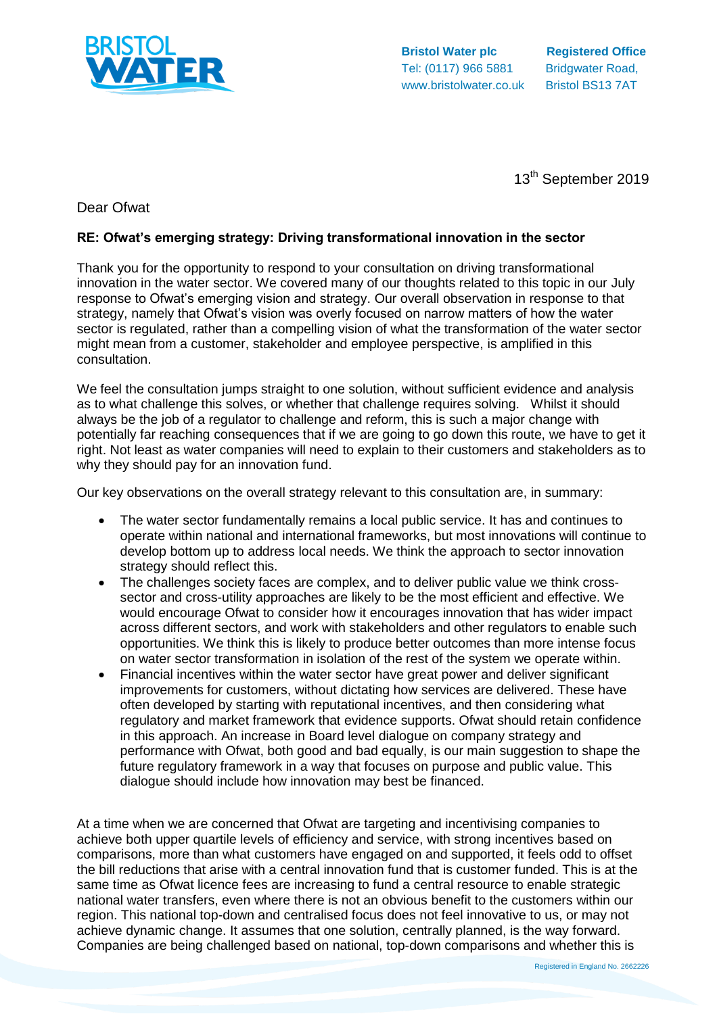

**Bristol Water plc Registered Office** Tel: (0117) 966 5881 Bridgwater Road, www.bristolwater.co.uk Bristol BS13 7AT

13<sup>th</sup> September 2019

# Dear Ofwat

## **RE: Ofwat's emerging strategy: Driving transformational innovation in the sector**

Thank you for the opportunity to respond to your consultation on driving transformational innovation in the water sector. We covered many of our thoughts related to this topic in our July response to Ofwat's emerging vision and strategy. Our overall observation in response to that strategy, namely that Ofwat's vision was overly focused on narrow matters of how the water sector is regulated, rather than a compelling vision of what the transformation of the water sector might mean from a customer, stakeholder and employee perspective, is amplified in this consultation.

We feel the consultation jumps straight to one solution, without sufficient evidence and analysis as to what challenge this solves, or whether that challenge requires solving. Whilst it should always be the job of a regulator to challenge and reform, this is such a major change with potentially far reaching consequences that if we are going to go down this route, we have to get it right. Not least as water companies will need to explain to their customers and stakeholders as to why they should pay for an innovation fund.

Our key observations on the overall strategy relevant to this consultation are, in summary:

- The water sector fundamentally remains a local public service. It has and continues to operate within national and international frameworks, but most innovations will continue to develop bottom up to address local needs. We think the approach to sector innovation strategy should reflect this.
- The challenges society faces are complex, and to deliver public value we think crosssector and cross-utility approaches are likely to be the most efficient and effective. We would encourage Ofwat to consider how it encourages innovation that has wider impact across different sectors, and work with stakeholders and other regulators to enable such opportunities. We think this is likely to produce better outcomes than more intense focus on water sector transformation in isolation of the rest of the system we operate within.
- Financial incentives within the water sector have great power and deliver significant improvements for customers, without dictating how services are delivered. These have often developed by starting with reputational incentives, and then considering what regulatory and market framework that evidence supports. Ofwat should retain confidence in this approach. An increase in Board level dialogue on company strategy and performance with Ofwat, both good and bad equally, is our main suggestion to shape the future regulatory framework in a way that focuses on purpose and public value. This dialogue should include how innovation may best be financed.

At a time when we are concerned that Ofwat are targeting and incentivising companies to achieve both upper quartile levels of efficiency and service, with strong incentives based on comparisons, more than what customers have engaged on and supported, it feels odd to offset the bill reductions that arise with a central innovation fund that is customer funded. This is at the same time as Ofwat licence fees are increasing to fund a central resource to enable strategic national water transfers, even where there is not an obvious benefit to the customers within our region. This national top-down and centralised focus does not feel innovative to us, or may not achieve dynamic change. It assumes that one solution, centrally planned, is the way forward. Companies are being challenged based on national, top-down comparisons and whether this is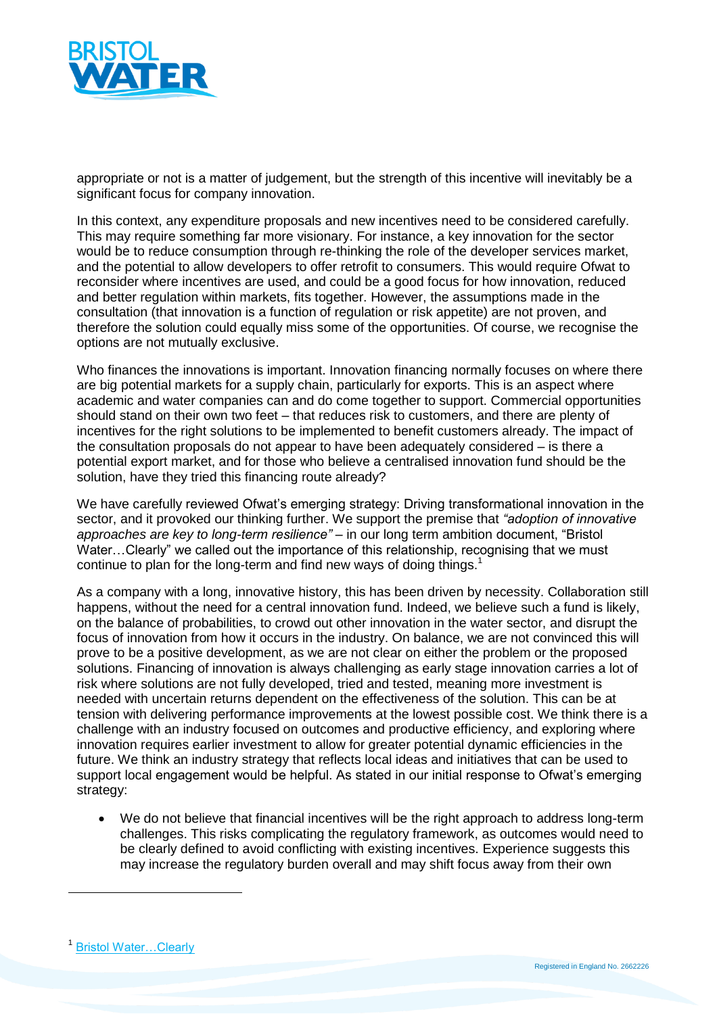

appropriate or not is a matter of judgement, but the strength of this incentive will inevitably be a significant focus for company innovation.

In this context, any expenditure proposals and new incentives need to be considered carefully. This may require something far more visionary. For instance, a key innovation for the sector would be to reduce consumption through re-thinking the role of the developer services market, and the potential to allow developers to offer retrofit to consumers. This would require Ofwat to reconsider where incentives are used, and could be a good focus for how innovation, reduced and better regulation within markets, fits together. However, the assumptions made in the consultation (that innovation is a function of regulation or risk appetite) are not proven, and therefore the solution could equally miss some of the opportunities. Of course, we recognise the options are not mutually exclusive.

Who finances the innovations is important. Innovation financing normally focuses on where there are big potential markets for a supply chain, particularly for exports. This is an aspect where academic and water companies can and do come together to support. Commercial opportunities should stand on their own two feet – that reduces risk to customers, and there are plenty of incentives for the right solutions to be implemented to benefit customers already. The impact of the consultation proposals do not appear to have been adequately considered – is there a potential export market, and for those who believe a centralised innovation fund should be the solution, have they tried this financing route already?

We have carefully reviewed Ofwat's emerging strategy: Driving transformational innovation in the sector, and it provoked our thinking further. We support the premise that *"adoption of innovative approaches are key to long-term resilience"* – in our long term ambition document, "Bristol Water...Clearly" we called out the importance of this relationship, recognising that we must continue to plan for the long-term and find new ways of doing things.<sup>1</sup>

As a company with a long, innovative history, this has been driven by necessity. Collaboration still happens, without the need for a central innovation fund. Indeed, we believe such a fund is likely, on the balance of probabilities, to crowd out other innovation in the water sector, and disrupt the focus of innovation from how it occurs in the industry. On balance, we are not convinced this will prove to be a positive development, as we are not clear on either the problem or the proposed solutions. Financing of innovation is always challenging as early stage innovation carries a lot of risk where solutions are not fully developed, tried and tested, meaning more investment is needed with uncertain returns dependent on the effectiveness of the solution. This can be at tension with delivering performance improvements at the lowest possible cost. We think there is a challenge with an industry focused on outcomes and productive efficiency, and exploring where innovation requires earlier investment to allow for greater potential dynamic efficiencies in the future. We think an industry strategy that reflects local ideas and initiatives that can be used to support local engagement would be helpful. As stated in our initial response to Ofwat's emerging strategy:

 We do not believe that financial incentives will be the right approach to address long-term challenges. This risks complicating the regulatory framework, as outcomes would need to be clearly defined to avoid conflicting with existing incentives. Experience suggests this may increase the regulatory burden overall and may shift focus away from their own

 $\overline{a}$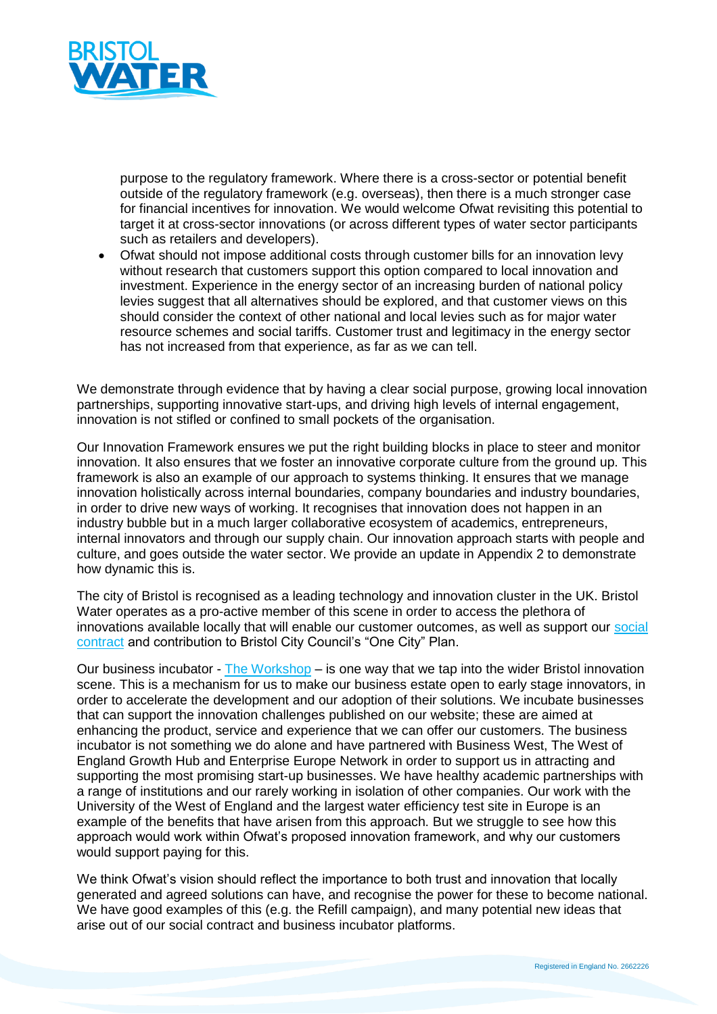

purpose to the regulatory framework. Where there is a cross-sector or potential benefit outside of the regulatory framework (e.g. overseas), then there is a much stronger case for financial incentives for innovation. We would welcome Ofwat revisiting this potential to target it at cross-sector innovations (or across different types of water sector participants such as retailers and developers).

 Ofwat should not impose additional costs through customer bills for an innovation levy without research that customers support this option compared to local innovation and investment. Experience in the energy sector of an increasing burden of national policy levies suggest that all alternatives should be explored, and that customer views on this should consider the context of other national and local levies such as for major water resource schemes and social tariffs. Customer trust and legitimacy in the energy sector has not increased from that experience, as far as we can tell.

We demonstrate through evidence that by having a clear social purpose, growing local innovation partnerships, supporting innovative start-ups, and driving high levels of internal engagement, innovation is not stifled or confined to small pockets of the organisation.

Our Innovation Framework ensures we put the right building blocks in place to steer and monitor innovation. It also ensures that we foster an innovative corporate culture from the ground up. This framework is also an example of our approach to systems thinking. It ensures that we manage innovation holistically across internal boundaries, company boundaries and industry boundaries, in order to drive new ways of working. It recognises that innovation does not happen in an industry bubble but in a much larger collaborative ecosystem of academics, entrepreneurs, internal innovators and through our supply chain. Our innovation approach starts with people and culture, and goes outside the water sector. We provide an update in Appendix 2 to demonstrate how dynamic this is.

The city of Bristol is recognised as a leading technology and innovation cluster in the UK. Bristol Water operates as a pro-active member of this scene in order to access the plethora of innovations available locally that will enable our customer outcomes, as well as support our [social](https://www.bristolwater.co.uk/about-us/social-contract/)  [contract](https://www.bristolwater.co.uk/about-us/social-contract/) and contribution to Bristol City Council's "One City" Plan.

Our business incubator - [The Workshop](https://www.bristolwater.co.uk/about-us/innovation/the-workshop/) – is one way that we tap into the wider Bristol innovation scene. This is a mechanism for us to make our business estate open to early stage innovators, in order to accelerate the development and our adoption of their solutions. We incubate businesses that can support the innovation challenges published on our website; these are aimed at enhancing the product, service and experience that we can offer our customers. The business incubator is not something we do alone and have partnered with Business West, The West of England Growth Hub and Enterprise Europe Network in order to support us in attracting and supporting the most promising start-up businesses. We have healthy academic partnerships with a range of institutions and our rarely working in isolation of other companies. Our work with the University of the West of England and the largest water efficiency test site in Europe is an example of the benefits that have arisen from this approach. But we struggle to see how this approach would work within Ofwat's proposed innovation framework, and why our customers would support paying for this.

We think Ofwat's vision should reflect the importance to both trust and innovation that locally generated and agreed solutions can have, and recognise the power for these to become national. We have good examples of this (e.g. the Refill campaign), and many potential new ideas that arise out of our social contract and business incubator platforms.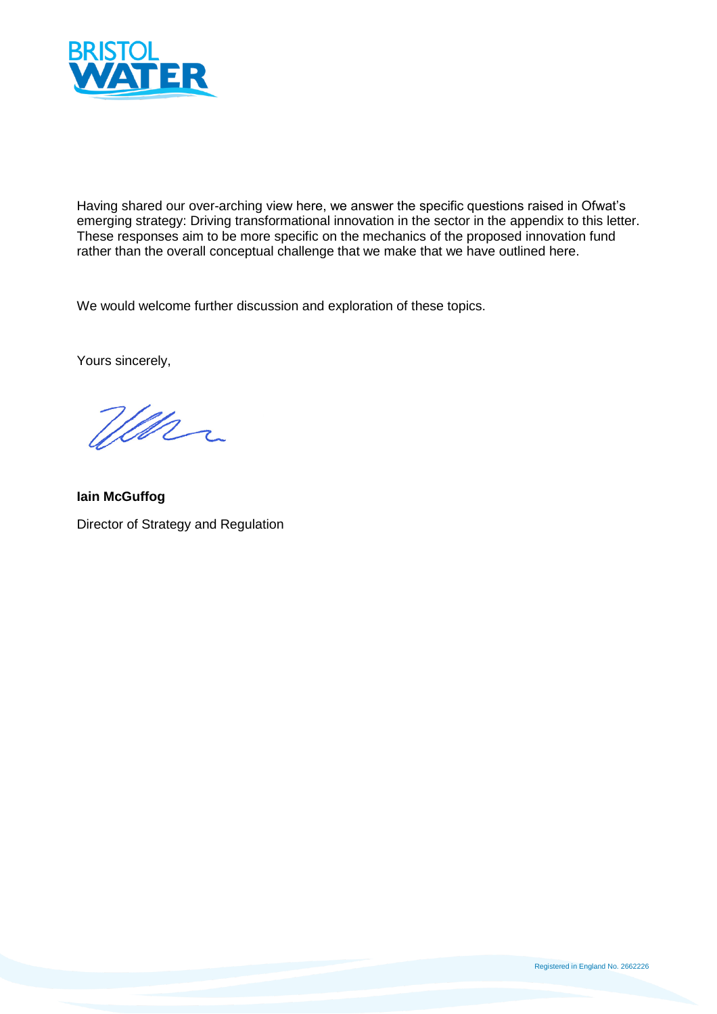

Having shared our over-arching view here, we answer the specific questions raised in Ofwat's emerging strategy: Driving transformational innovation in the sector in the appendix to this letter. These responses aim to be more specific on the mechanics of the proposed innovation fund rather than the overall conceptual challenge that we make that we have outlined here.

We would welcome further discussion and exploration of these topics.

Yours sincerely,

Wenn

**Iain McGuffog** Director of Strategy and Regulation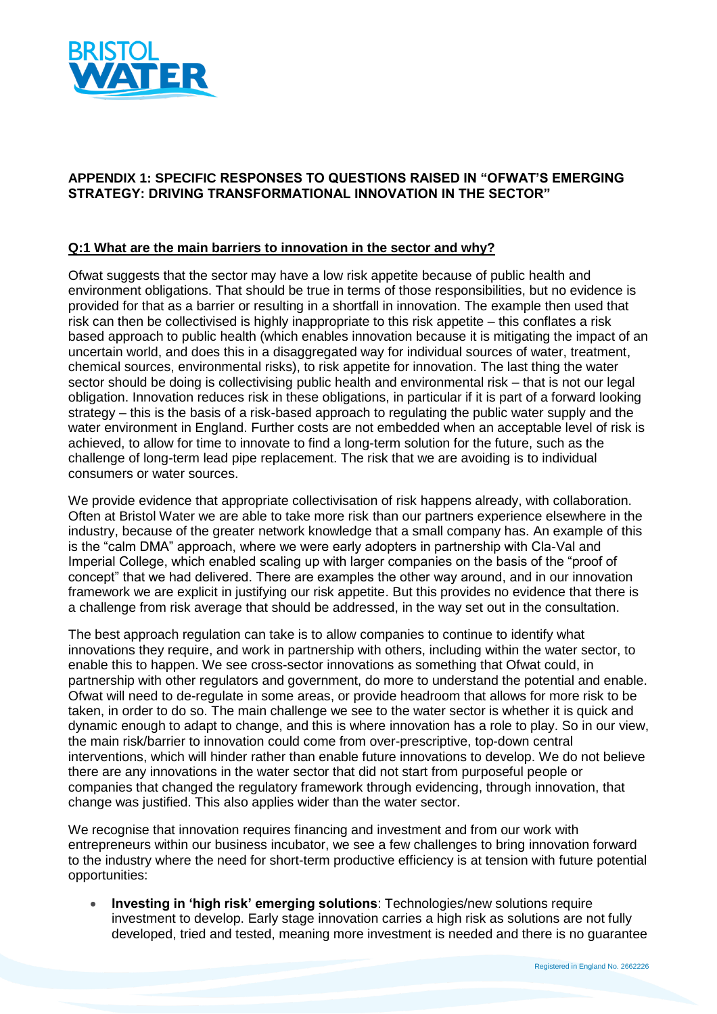

## **APPENDIX 1: SPECIFIC RESPONSES TO QUESTIONS RAISED IN "OFWAT'S EMERGING STRATEGY: DRIVING TRANSFORMATIONAL INNOVATION IN THE SECTOR"**

#### **Q:1 What are the main barriers to innovation in the sector and why?**

Ofwat suggests that the sector may have a low risk appetite because of public health and environment obligations. That should be true in terms of those responsibilities, but no evidence is provided for that as a barrier or resulting in a shortfall in innovation. The example then used that risk can then be collectivised is highly inappropriate to this risk appetite – this conflates a risk based approach to public health (which enables innovation because it is mitigating the impact of an uncertain world, and does this in a disaggregated way for individual sources of water, treatment, chemical sources, environmental risks), to risk appetite for innovation. The last thing the water sector should be doing is collectivising public health and environmental risk – that is not our legal obligation. Innovation reduces risk in these obligations, in particular if it is part of a forward looking strategy – this is the basis of a risk-based approach to regulating the public water supply and the water environment in England. Further costs are not embedded when an acceptable level of risk is achieved, to allow for time to innovate to find a long-term solution for the future, such as the challenge of long-term lead pipe replacement. The risk that we are avoiding is to individual consumers or water sources.

We provide evidence that appropriate collectivisation of risk happens already, with collaboration. Often at Bristol Water we are able to take more risk than our partners experience elsewhere in the industry, because of the greater network knowledge that a small company has. An example of this is the "calm DMA" approach, where we were early adopters in partnership with Cla-Val and Imperial College, which enabled scaling up with larger companies on the basis of the "proof of concept" that we had delivered. There are examples the other way around, and in our innovation framework we are explicit in justifying our risk appetite. But this provides no evidence that there is a challenge from risk average that should be addressed, in the way set out in the consultation.

The best approach regulation can take is to allow companies to continue to identify what innovations they require, and work in partnership with others, including within the water sector, to enable this to happen. We see cross-sector innovations as something that Ofwat could, in partnership with other regulators and government, do more to understand the potential and enable. Ofwat will need to de-regulate in some areas, or provide headroom that allows for more risk to be taken, in order to do so. The main challenge we see to the water sector is whether it is quick and dynamic enough to adapt to change, and this is where innovation has a role to play. So in our view, the main risk/barrier to innovation could come from over-prescriptive, top-down central interventions, which will hinder rather than enable future innovations to develop. We do not believe there are any innovations in the water sector that did not start from purposeful people or companies that changed the regulatory framework through evidencing, through innovation, that change was justified. This also applies wider than the water sector.

We recognise that innovation requires financing and investment and from our work with entrepreneurs within our business incubator, we see a few challenges to bring innovation forward to the industry where the need for short-term productive efficiency is at tension with future potential opportunities:

 **Investing in 'high risk' emerging solutions**: Technologies/new solutions require investment to develop. Early stage innovation carries a high risk as solutions are not fully developed, tried and tested, meaning more investment is needed and there is no guarantee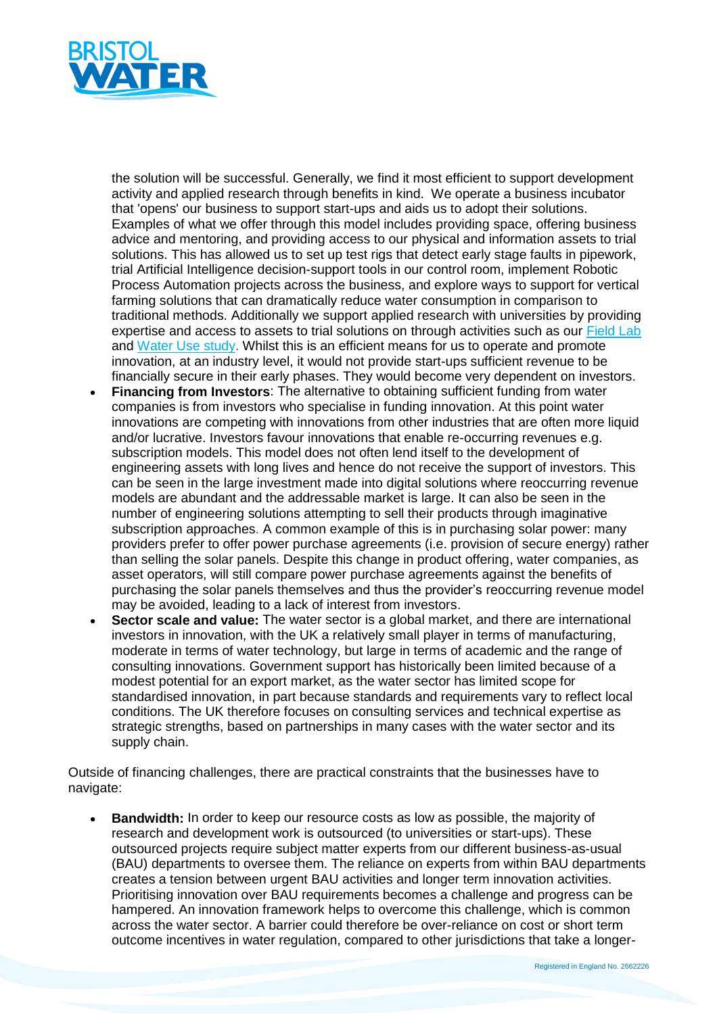

the solution will be successful. Generally, we find it most efficient to support development activity and applied research through benefits in kind. We operate a business incubator that 'opens' our business to support start-ups and aids us to adopt their solutions. Examples of what we offer through this model includes providing space, offering business advice and mentoring, and providing access to our physical and information assets to trial solutions. This has allowed us to set up test rigs that detect early stage faults in pipework, trial Artificial Intelligence decision-support tools in our control room, implement Robotic Process Automation projects across the business, and explore ways to support for vertical farming solutions that can dramatically reduce water consumption in comparison to traditional methods. Additionally we support applied research with universities by providing expertise and access to assets to trial solutions on through activities such as our [Field Lab](https://www.bristolwater.co.uk/dynamic-district-meter-areas/) and [Water Use study.](https://youtu.be/U3hsch23LF4) Whilst this is an efficient means for us to operate and promote innovation, at an industry level, it would not provide start-ups sufficient revenue to be financially secure in their early phases. They would become very dependent on investors.

- **Financing from Investors**: The alternative to obtaining sufficient funding from water companies is from investors who specialise in funding innovation. At this point water innovations are competing with innovations from other industries that are often more liquid and/or lucrative. Investors favour innovations that enable re-occurring revenues e.g. subscription models. This model does not often lend itself to the development of engineering assets with long lives and hence do not receive the support of investors. This can be seen in the large investment made into digital solutions where reoccurring revenue models are abundant and the addressable market is large. It can also be seen in the number of engineering solutions attempting to sell their products through imaginative subscription approaches. A common example of this is in purchasing solar power: many providers prefer to offer power purchase agreements (i.e. provision of secure energy) rather than selling the solar panels. Despite this change in product offering, water companies, as asset operators, will still compare power purchase agreements against the benefits of purchasing the solar panels themselves and thus the provider's reoccurring revenue model may be avoided, leading to a lack of interest from investors.
- **Sector scale and value:** The water sector is a global market, and there are international investors in innovation, with the UK a relatively small player in terms of manufacturing, moderate in terms of water technology, but large in terms of academic and the range of consulting innovations. Government support has historically been limited because of a modest potential for an export market, as the water sector has limited scope for standardised innovation, in part because standards and requirements vary to reflect local conditions. The UK therefore focuses on consulting services and technical expertise as strategic strengths, based on partnerships in many cases with the water sector and its supply chain.

Outside of financing challenges, there are practical constraints that the businesses have to navigate:

 **Bandwidth:** In order to keep our resource costs as low as possible, the majority of research and development work is outsourced (to universities or start-ups). These outsourced projects require subject matter experts from our different business-as-usual (BAU) departments to oversee them. The reliance on experts from within BAU departments creates a tension between urgent BAU activities and longer term innovation activities. Prioritising innovation over BAU requirements becomes a challenge and progress can be hampered. An innovation framework helps to overcome this challenge, which is common across the water sector. A barrier could therefore be over-reliance on cost or short term outcome incentives in water regulation, compared to other jurisdictions that take a longer-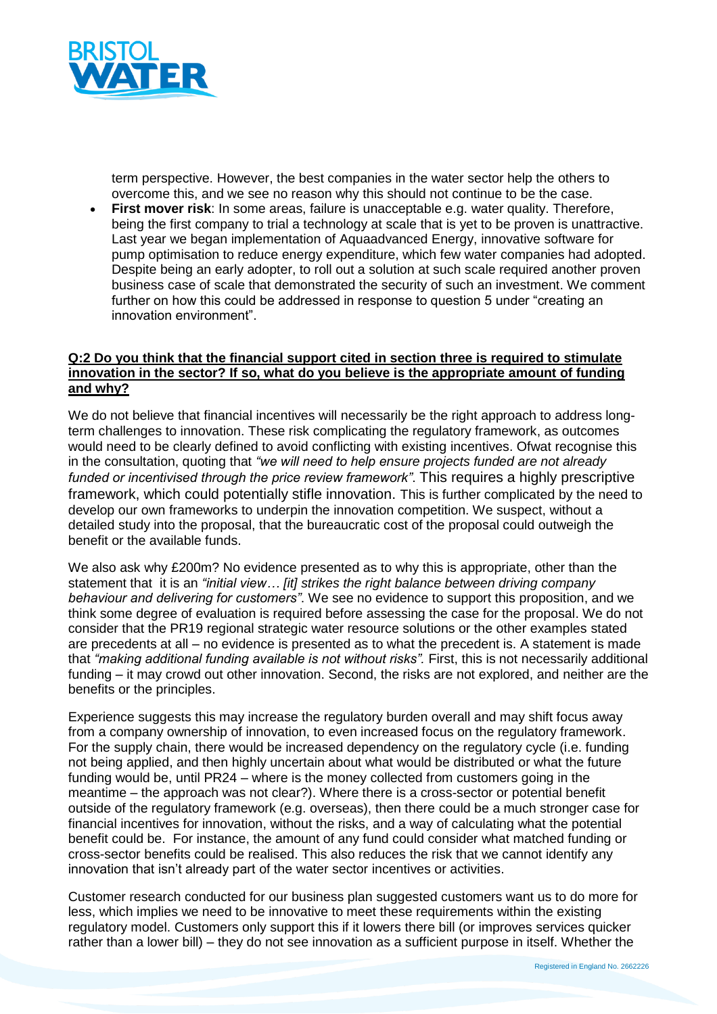

term perspective. However, the best companies in the water sector help the others to overcome this, and we see no reason why this should not continue to be the case.

 **First mover risk**: In some areas, failure is unacceptable e.g. water quality. Therefore, being the first company to trial a technology at scale that is yet to be proven is unattractive. Last year we began implementation of Aquaadvanced Energy, innovative software for pump optimisation to reduce energy expenditure, which few water companies had adopted. Despite being an early adopter, to roll out a solution at such scale required another proven business case of scale that demonstrated the security of such an investment. We comment further on how this could be addressed in response to question 5 under "creating an innovation environment".

### **Q:2 Do you think that the financial support cited in section three is required to stimulate innovation in the sector? If so, what do you believe is the appropriate amount of funding and why?**

We do not believe that financial incentives will necessarily be the right approach to address longterm challenges to innovation. These risk complicating the regulatory framework, as outcomes would need to be clearly defined to avoid conflicting with existing incentives. Ofwat recognise this in the consultation, quoting that *"we will need to help ensure projects funded are not already funded or incentivised through the price review framework"*. This requires a highly prescriptive framework, which could potentially stifle innovation. This is further complicated by the need to develop our own frameworks to underpin the innovation competition. We suspect, without a detailed study into the proposal, that the bureaucratic cost of the proposal could outweigh the benefit or the available funds.

We also ask why £200m? No evidence presented as to why this is appropriate, other than the statement that it is an *"initial view… [it] strikes the right balance between driving company behaviour and delivering for customers"*. We see no evidence to support this proposition, and we think some degree of evaluation is required before assessing the case for the proposal. We do not consider that the PR19 regional strategic water resource solutions or the other examples stated are precedents at all – no evidence is presented as to what the precedent is. A statement is made that *"making additional funding available is not without risks".* First, this is not necessarily additional funding – it may crowd out other innovation. Second, the risks are not explored, and neither are the benefits or the principles.

Experience suggests this may increase the regulatory burden overall and may shift focus away from a company ownership of innovation, to even increased focus on the regulatory framework. For the supply chain, there would be increased dependency on the regulatory cycle (i.e. funding not being applied, and then highly uncertain about what would be distributed or what the future funding would be, until PR24 – where is the money collected from customers going in the meantime – the approach was not clear?). Where there is a cross-sector or potential benefit outside of the regulatory framework (e.g. overseas), then there could be a much stronger case for financial incentives for innovation, without the risks, and a way of calculating what the potential benefit could be. For instance, the amount of any fund could consider what matched funding or cross-sector benefits could be realised. This also reduces the risk that we cannot identify any innovation that isn't already part of the water sector incentives or activities.

Customer research conducted for our business plan suggested customers want us to do more for less, which implies we need to be innovative to meet these requirements within the existing regulatory model. Customers only support this if it lowers there bill (or improves services quicker rather than a lower bill) – they do not see innovation as a sufficient purpose in itself. Whether the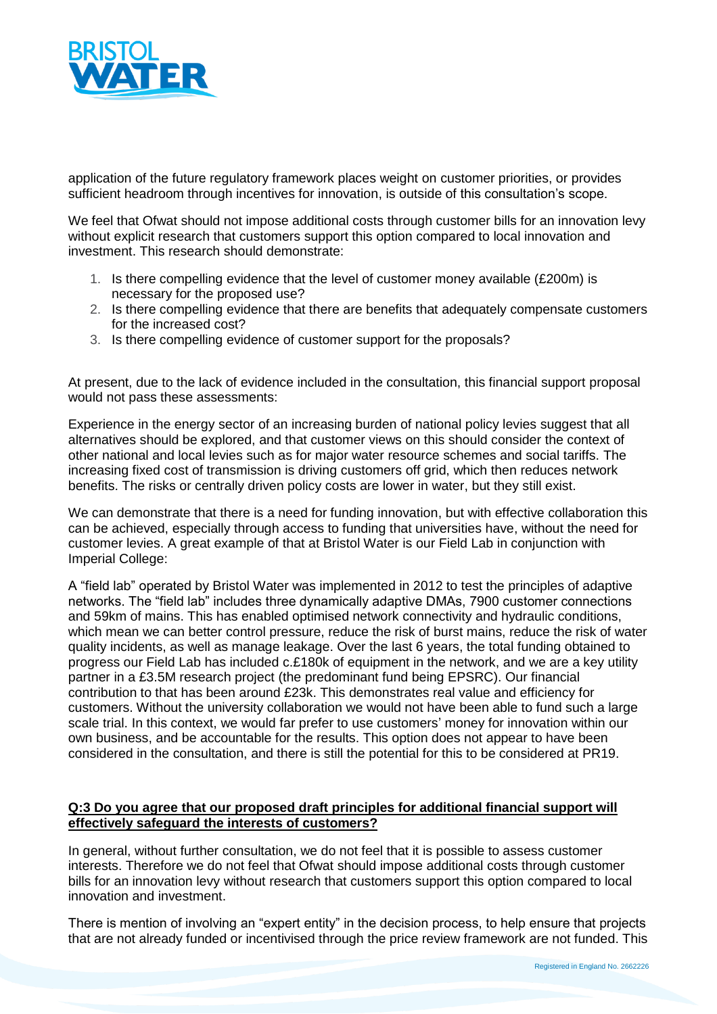

application of the future regulatory framework places weight on customer priorities, or provides sufficient headroom through incentives for innovation, is outside of this consultation's scope.

We feel that Ofwat should not impose additional costs through customer bills for an innovation levy without explicit research that customers support this option compared to local innovation and investment. This research should demonstrate:

- 1. Is there compelling evidence that the level of customer money available (£200m) is necessary for the proposed use?
- 2. Is there compelling evidence that there are benefits that adequately compensate customers for the increased cost?
- 3. Is there compelling evidence of customer support for the proposals?

At present, due to the lack of evidence included in the consultation, this financial support proposal would not pass these assessments:

Experience in the energy sector of an increasing burden of national policy levies suggest that all alternatives should be explored, and that customer views on this should consider the context of other national and local levies such as for major water resource schemes and social tariffs. The increasing fixed cost of transmission is driving customers off grid, which then reduces network benefits. The risks or centrally driven policy costs are lower in water, but they still exist.

We can demonstrate that there is a need for funding innovation, but with effective collaboration this can be achieved, especially through access to funding that universities have, without the need for customer levies. A great example of that at Bristol Water is our Field Lab in conjunction with Imperial College:

A "field lab" operated by Bristol Water was implemented in 2012 to test the principles of adaptive networks. The "field lab" includes three dynamically adaptive DMAs, 7900 customer connections and 59km of mains. This has enabled optimised network connectivity and hydraulic conditions, which mean we can better control pressure, reduce the risk of burst mains, reduce the risk of water quality incidents, as well as manage leakage. Over the last 6 years, the total funding obtained to progress our Field Lab has included c.£180k of equipment in the network, and we are a key utility partner in a £3.5M research project (the predominant fund being EPSRC). Our financial contribution to that has been around £23k. This demonstrates real value and efficiency for customers. Without the university collaboration we would not have been able to fund such a large scale trial. In this context, we would far prefer to use customers' money for innovation within our own business, and be accountable for the results. This option does not appear to have been considered in the consultation, and there is still the potential for this to be considered at PR19.

## **Q:3 Do you agree that our proposed draft principles for additional financial support will effectively safeguard the interests of customers?**

In general, without further consultation, we do not feel that it is possible to assess customer interests. Therefore we do not feel that Ofwat should impose additional costs through customer bills for an innovation levy without research that customers support this option compared to local innovation and investment.

There is mention of involving an "expert entity" in the decision process, to help ensure that projects that are not already funded or incentivised through the price review framework are not funded. This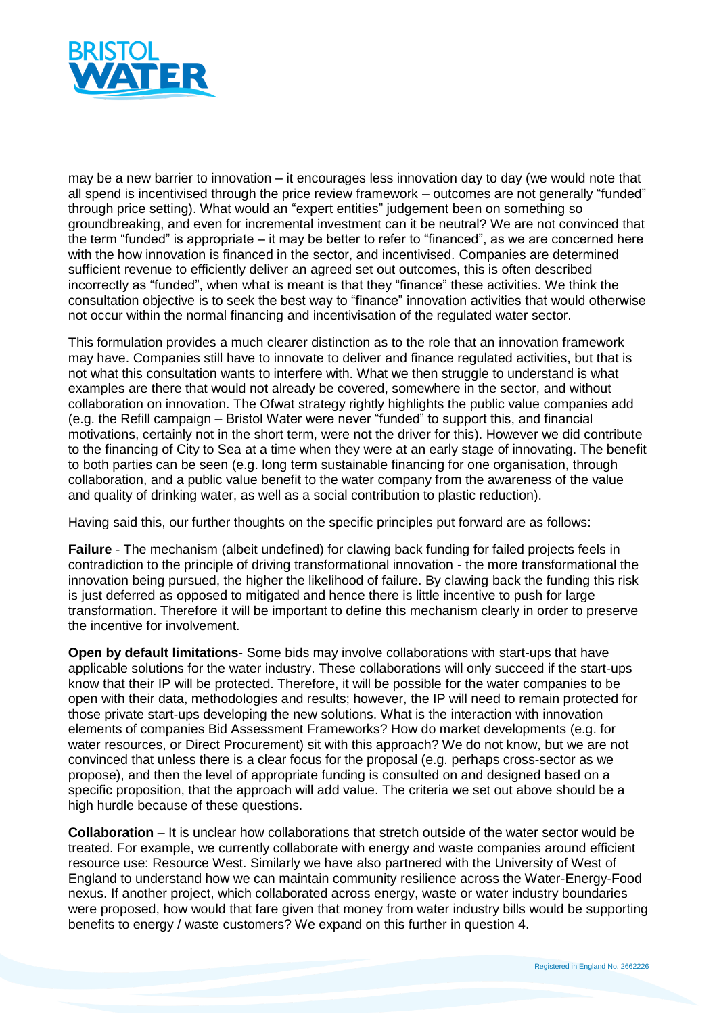

may be a new barrier to innovation – it encourages less innovation day to day (we would note that all spend is incentivised through the price review framework – outcomes are not generally "funded" through price setting). What would an "expert entities" judgement been on something so groundbreaking, and even for incremental investment can it be neutral? We are not convinced that the term "funded" is appropriate – it may be better to refer to "financed", as we are concerned here with the how innovation is financed in the sector, and incentivised. Companies are determined sufficient revenue to efficiently deliver an agreed set out outcomes, this is often described incorrectly as "funded", when what is meant is that they "finance" these activities. We think the consultation objective is to seek the best way to "finance" innovation activities that would otherwise not occur within the normal financing and incentivisation of the regulated water sector.

This formulation provides a much clearer distinction as to the role that an innovation framework may have. Companies still have to innovate to deliver and finance regulated activities, but that is not what this consultation wants to interfere with. What we then struggle to understand is what examples are there that would not already be covered, somewhere in the sector, and without collaboration on innovation. The Ofwat strategy rightly highlights the public value companies add (e.g. the Refill campaign – Bristol Water were never "funded" to support this, and financial motivations, certainly not in the short term, were not the driver for this). However we did contribute to the financing of City to Sea at a time when they were at an early stage of innovating. The benefit to both parties can be seen (e.g. long term sustainable financing for one organisation, through collaboration, and a public value benefit to the water company from the awareness of the value and quality of drinking water, as well as a social contribution to plastic reduction).

Having said this, our further thoughts on the specific principles put forward are as follows:

**Failure** - The mechanism (albeit undefined) for clawing back funding for failed projects feels in contradiction to the principle of driving transformational innovation - the more transformational the innovation being pursued, the higher the likelihood of failure. By clawing back the funding this risk is just deferred as opposed to mitigated and hence there is little incentive to push for large transformation. Therefore it will be important to define this mechanism clearly in order to preserve the incentive for involvement.

**Open by default limitations**- Some bids may involve collaborations with start-ups that have applicable solutions for the water industry. These collaborations will only succeed if the start-ups know that their IP will be protected. Therefore, it will be possible for the water companies to be open with their data, methodologies and results; however, the IP will need to remain protected for those private start-ups developing the new solutions. What is the interaction with innovation elements of companies Bid Assessment Frameworks? How do market developments (e.g. for water resources, or Direct Procurement) sit with this approach? We do not know, but we are not convinced that unless there is a clear focus for the proposal (e.g. perhaps cross-sector as we propose), and then the level of appropriate funding is consulted on and designed based on a specific proposition, that the approach will add value. The criteria we set out above should be a high hurdle because of these questions.

**Collaboration** – It is unclear how collaborations that stretch outside of the water sector would be treated. For example, we currently collaborate with energy and waste companies around efficient resource use: Resource West. Similarly we have also partnered with the University of West of England to understand how we can maintain community resilience across the Water-Energy-Food nexus. If another project, which collaborated across energy, waste or water industry boundaries were proposed, how would that fare given that money from water industry bills would be supporting benefits to energy / waste customers? We expand on this further in question 4.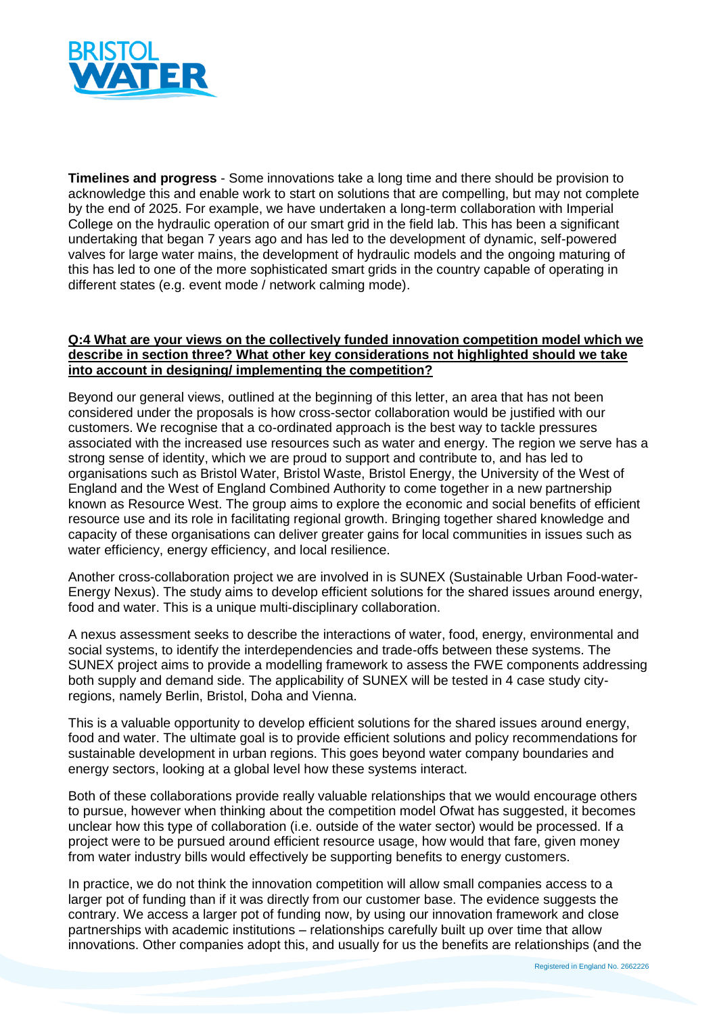

**Timelines and progress** - Some innovations take a long time and there should be provision to acknowledge this and enable work to start on solutions that are compelling, but may not complete by the end of 2025. For example, we have undertaken a long-term collaboration with Imperial College on the hydraulic operation of our smart grid in the field lab. This has been a significant undertaking that began 7 years ago and has led to the development of dynamic, self-powered valves for large water mains, the development of hydraulic models and the ongoing maturing of this has led to one of the more sophisticated smart grids in the country capable of operating in different states (e.g. event mode / network calming mode).

## **Q:4 What are your views on the collectively funded innovation competition model which we describe in section three? What other key considerations not highlighted should we take into account in designing/ implementing the competition?**

Beyond our general views, outlined at the beginning of this letter, an area that has not been considered under the proposals is how cross-sector collaboration would be justified with our customers. We recognise that a co-ordinated approach is the best way to tackle pressures associated with the increased use resources such as water and energy. The region we serve has a strong sense of identity, which we are proud to support and contribute to, and has led to organisations such as Bristol Water, Bristol Waste, Bristol Energy, the University of the West of England and the West of England Combined Authority to come together in a new partnership known as Resource West. The group aims to explore the economic and social benefits of efficient resource use and its role in facilitating regional growth. Bringing together shared knowledge and capacity of these organisations can deliver greater gains for local communities in issues such as water efficiency, energy efficiency, and local resilience.

Another cross-collaboration project we are involved in is SUNEX (Sustainable Urban Food-water-Energy Nexus). The study aims to develop efficient solutions for the shared issues around energy, food and water. This is a unique multi-disciplinary collaboration.

A nexus assessment seeks to describe the interactions of water, food, energy, environmental and social systems, to identify the interdependencies and trade-offs between these systems. The SUNEX project aims to provide a modelling framework to assess the FWE components addressing both supply and demand side. The applicability of SUNEX will be tested in 4 case study cityregions, namely Berlin, Bristol, Doha and Vienna.

This is a valuable opportunity to develop efficient solutions for the shared issues around energy, food and water. The ultimate goal is to provide efficient solutions and policy recommendations for sustainable development in urban regions. This goes beyond water company boundaries and energy sectors, looking at a global level how these systems interact.

Both of these collaborations provide really valuable relationships that we would encourage others to pursue, however when thinking about the competition model Ofwat has suggested, it becomes unclear how this type of collaboration (i.e. outside of the water sector) would be processed. If a project were to be pursued around efficient resource usage, how would that fare, given money from water industry bills would effectively be supporting benefits to energy customers.

In practice, we do not think the innovation competition will allow small companies access to a larger pot of funding than if it was directly from our customer base. The evidence suggests the contrary. We access a larger pot of funding now, by using our innovation framework and close partnerships with academic institutions – relationships carefully built up over time that allow innovations. Other companies adopt this, and usually for us the benefits are relationships (and the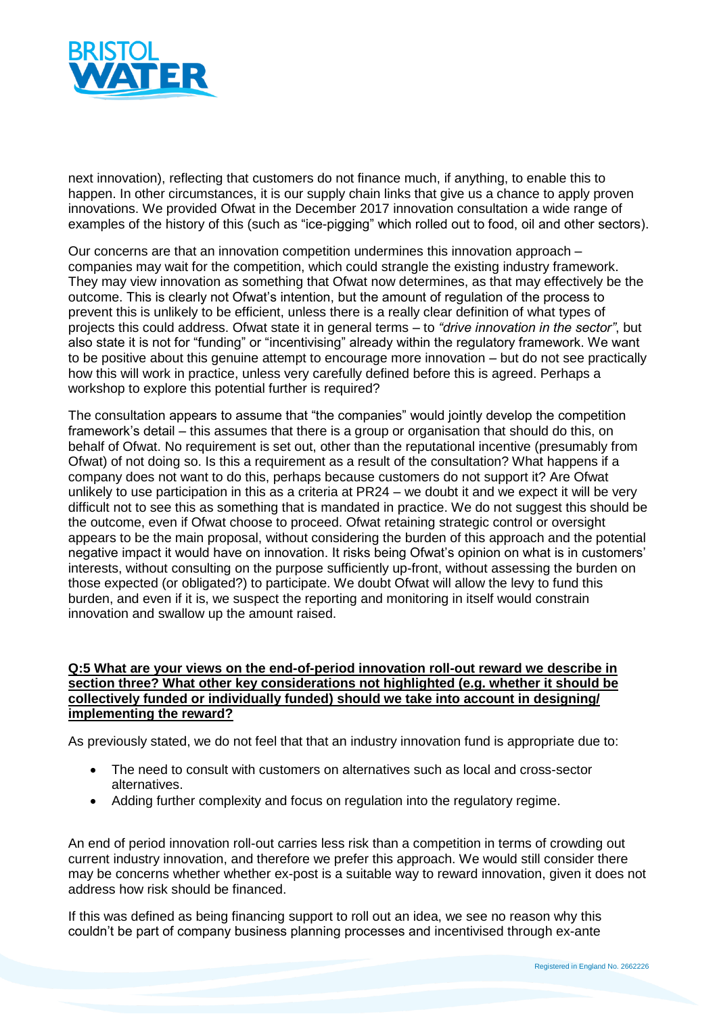

next innovation), reflecting that customers do not finance much, if anything, to enable this to happen. In other circumstances, it is our supply chain links that give us a chance to apply proven innovations. We provided Ofwat in the December 2017 innovation consultation a wide range of examples of the history of this (such as "ice-pigging" which rolled out to food, oil and other sectors).

Our concerns are that an innovation competition undermines this innovation approach – companies may wait for the competition, which could strangle the existing industry framework. They may view innovation as something that Ofwat now determines, as that may effectively be the outcome. This is clearly not Ofwat's intention, but the amount of regulation of the process to prevent this is unlikely to be efficient, unless there is a really clear definition of what types of projects this could address. Ofwat state it in general terms – to *"drive innovation in the sector"*, but also state it is not for "funding" or "incentivising" already within the regulatory framework. We want to be positive about this genuine attempt to encourage more innovation – but do not see practically how this will work in practice, unless very carefully defined before this is agreed. Perhaps a workshop to explore this potential further is required?

The consultation appears to assume that "the companies" would jointly develop the competition framework's detail – this assumes that there is a group or organisation that should do this, on behalf of Ofwat. No requirement is set out, other than the reputational incentive (presumably from Ofwat) of not doing so. Is this a requirement as a result of the consultation? What happens if a company does not want to do this, perhaps because customers do not support it? Are Ofwat unlikely to use participation in this as a criteria at PR24 – we doubt it and we expect it will be very difficult not to see this as something that is mandated in practice. We do not suggest this should be the outcome, even if Ofwat choose to proceed. Ofwat retaining strategic control or oversight appears to be the main proposal, without considering the burden of this approach and the potential negative impact it would have on innovation. It risks being Ofwat's opinion on what is in customers' interests, without consulting on the purpose sufficiently up-front, without assessing the burden on those expected (or obligated?) to participate. We doubt Ofwat will allow the levy to fund this burden, and even if it is, we suspect the reporting and monitoring in itself would constrain innovation and swallow up the amount raised.

### **Q:5 What are your views on the end-of-period innovation roll-out reward we describe in section three? What other key considerations not highlighted (e.g. whether it should be collectively funded or individually funded) should we take into account in designing/ implementing the reward?**

As previously stated, we do not feel that that an industry innovation fund is appropriate due to:

- The need to consult with customers on alternatives such as local and cross-sector alternatives.
- Adding further complexity and focus on regulation into the regulatory regime.

An end of period innovation roll-out carries less risk than a competition in terms of crowding out current industry innovation, and therefore we prefer this approach. We would still consider there may be concerns whether whether ex-post is a suitable way to reward innovation, given it does not address how risk should be financed.

If this was defined as being financing support to roll out an idea, we see no reason why this couldn't be part of company business planning processes and incentivised through ex-ante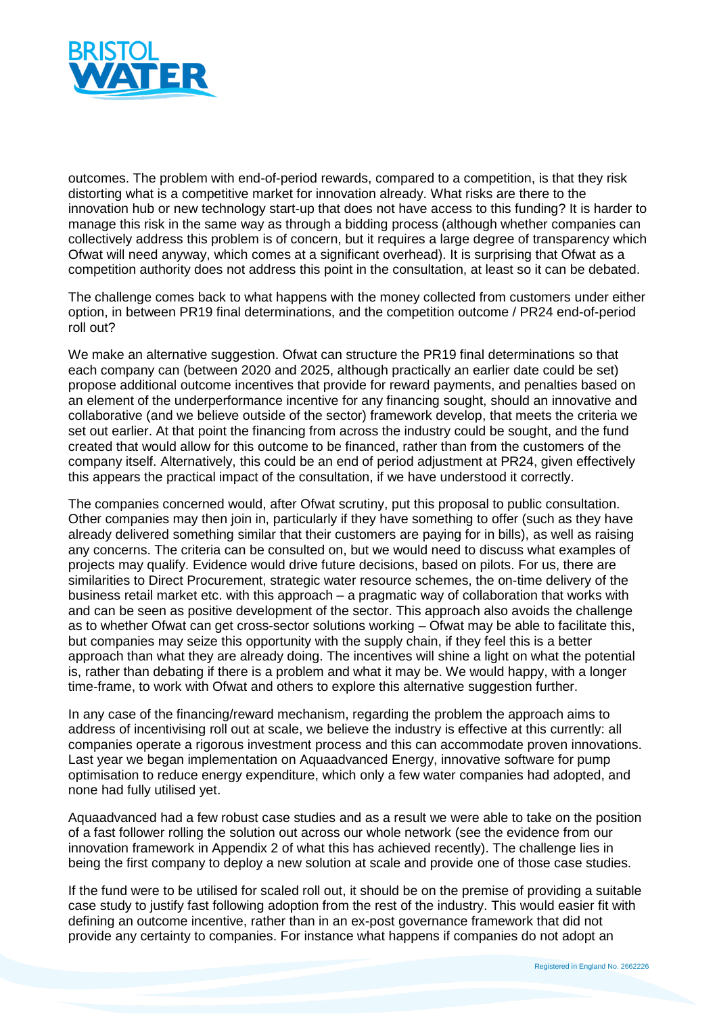

outcomes. The problem with end-of-period rewards, compared to a competition, is that they risk distorting what is a competitive market for innovation already. What risks are there to the innovation hub or new technology start-up that does not have access to this funding? It is harder to manage this risk in the same way as through a bidding process (although whether companies can collectively address this problem is of concern, but it requires a large degree of transparency which Ofwat will need anyway, which comes at a significant overhead). It is surprising that Ofwat as a competition authority does not address this point in the consultation, at least so it can be debated.

The challenge comes back to what happens with the money collected from customers under either option, in between PR19 final determinations, and the competition outcome / PR24 end-of-period roll out?

We make an alternative suggestion. Ofwat can structure the PR19 final determinations so that each company can (between 2020 and 2025, although practically an earlier date could be set) propose additional outcome incentives that provide for reward payments, and penalties based on an element of the underperformance incentive for any financing sought, should an innovative and collaborative (and we believe outside of the sector) framework develop, that meets the criteria we set out earlier. At that point the financing from across the industry could be sought, and the fund created that would allow for this outcome to be financed, rather than from the customers of the company itself. Alternatively, this could be an end of period adjustment at PR24, given effectively this appears the practical impact of the consultation, if we have understood it correctly.

The companies concerned would, after Ofwat scrutiny, put this proposal to public consultation. Other companies may then join in, particularly if they have something to offer (such as they have already delivered something similar that their customers are paying for in bills), as well as raising any concerns. The criteria can be consulted on, but we would need to discuss what examples of projects may qualify. Evidence would drive future decisions, based on pilots. For us, there are similarities to Direct Procurement, strategic water resource schemes, the on-time delivery of the business retail market etc. with this approach – a pragmatic way of collaboration that works with and can be seen as positive development of the sector. This approach also avoids the challenge as to whether Ofwat can get cross-sector solutions working – Ofwat may be able to facilitate this, but companies may seize this opportunity with the supply chain, if they feel this is a better approach than what they are already doing. The incentives will shine a light on what the potential is, rather than debating if there is a problem and what it may be. We would happy, with a longer time-frame, to work with Ofwat and others to explore this alternative suggestion further.

In any case of the financing/reward mechanism, regarding the problem the approach aims to address of incentivising roll out at scale, we believe the industry is effective at this currently: all companies operate a rigorous investment process and this can accommodate proven innovations. Last year we began implementation on Aquaadvanced Energy, innovative software for pump optimisation to reduce energy expenditure, which only a few water companies had adopted, and none had fully utilised yet.

Aquaadvanced had a few robust case studies and as a result we were able to take on the position of a fast follower rolling the solution out across our whole network (see the evidence from our innovation framework in Appendix 2 of what this has achieved recently). The challenge lies in being the first company to deploy a new solution at scale and provide one of those case studies.

If the fund were to be utilised for scaled roll out, it should be on the premise of providing a suitable case study to justify fast following adoption from the rest of the industry. This would easier fit with defining an outcome incentive, rather than in an ex-post governance framework that did not provide any certainty to companies. For instance what happens if companies do not adopt an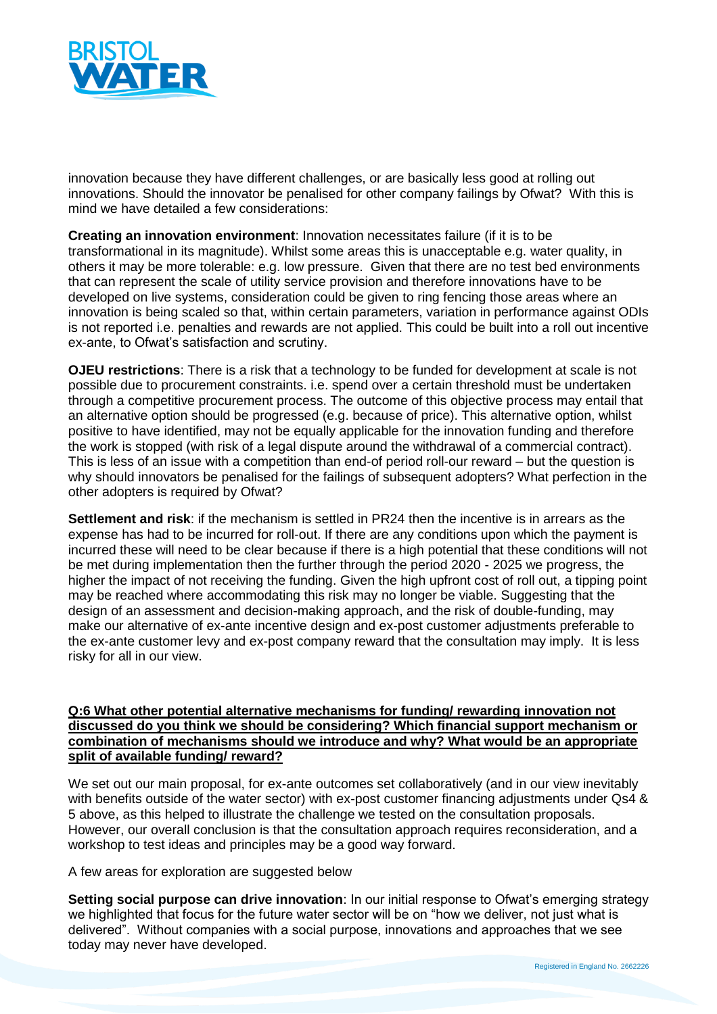

innovation because they have different challenges, or are basically less good at rolling out innovations. Should the innovator be penalised for other company failings by Ofwat? With this is mind we have detailed a few considerations:

**Creating an innovation environment**: Innovation necessitates failure (if it is to be transformational in its magnitude). Whilst some areas this is unacceptable e.g. water quality, in others it may be more tolerable: e.g. low pressure. Given that there are no test bed environments that can represent the scale of utility service provision and therefore innovations have to be developed on live systems, consideration could be given to ring fencing those areas where an innovation is being scaled so that, within certain parameters, variation in performance against ODIs is not reported i.e. penalties and rewards are not applied. This could be built into a roll out incentive ex-ante, to Ofwat's satisfaction and scrutiny.

**OJEU restrictions**: There is a risk that a technology to be funded for development at scale is not possible due to procurement constraints. i.e. spend over a certain threshold must be undertaken through a competitive procurement process. The outcome of this objective process may entail that an alternative option should be progressed (e.g. because of price). This alternative option, whilst positive to have identified, may not be equally applicable for the innovation funding and therefore the work is stopped (with risk of a legal dispute around the withdrawal of a commercial contract). This is less of an issue with a competition than end-of period roll-our reward – but the question is why should innovators be penalised for the failings of subsequent adopters? What perfection in the other adopters is required by Ofwat?

**Settlement and risk**: if the mechanism is settled in PR24 then the incentive is in arrears as the expense has had to be incurred for roll-out. If there are any conditions upon which the payment is incurred these will need to be clear because if there is a high potential that these conditions will not be met during implementation then the further through the period 2020 - 2025 we progress, the higher the impact of not receiving the funding. Given the high upfront cost of roll out, a tipping point may be reached where accommodating this risk may no longer be viable. Suggesting that the design of an assessment and decision-making approach, and the risk of double-funding, may make our alternative of ex-ante incentive design and ex-post customer adjustments preferable to the ex-ante customer levy and ex-post company reward that the consultation may imply. It is less risky for all in our view.

### **Q:6 What other potential alternative mechanisms for funding/ rewarding innovation not discussed do you think we should be considering? Which financial support mechanism or combination of mechanisms should we introduce and why? What would be an appropriate split of available funding/ reward?**

We set out our main proposal, for ex-ante outcomes set collaboratively (and in our view inevitably with benefits outside of the water sector) with ex-post customer financing adjustments under Qs4 & 5 above, as this helped to illustrate the challenge we tested on the consultation proposals. However, our overall conclusion is that the consultation approach requires reconsideration, and a workshop to test ideas and principles may be a good way forward.

A few areas for exploration are suggested below

**Setting social purpose can drive innovation**: In our initial response to Ofwat's emerging strategy we highlighted that focus for the future water sector will be on "how we deliver, not just what is delivered". Without companies with a social purpose, innovations and approaches that we see today may never have developed.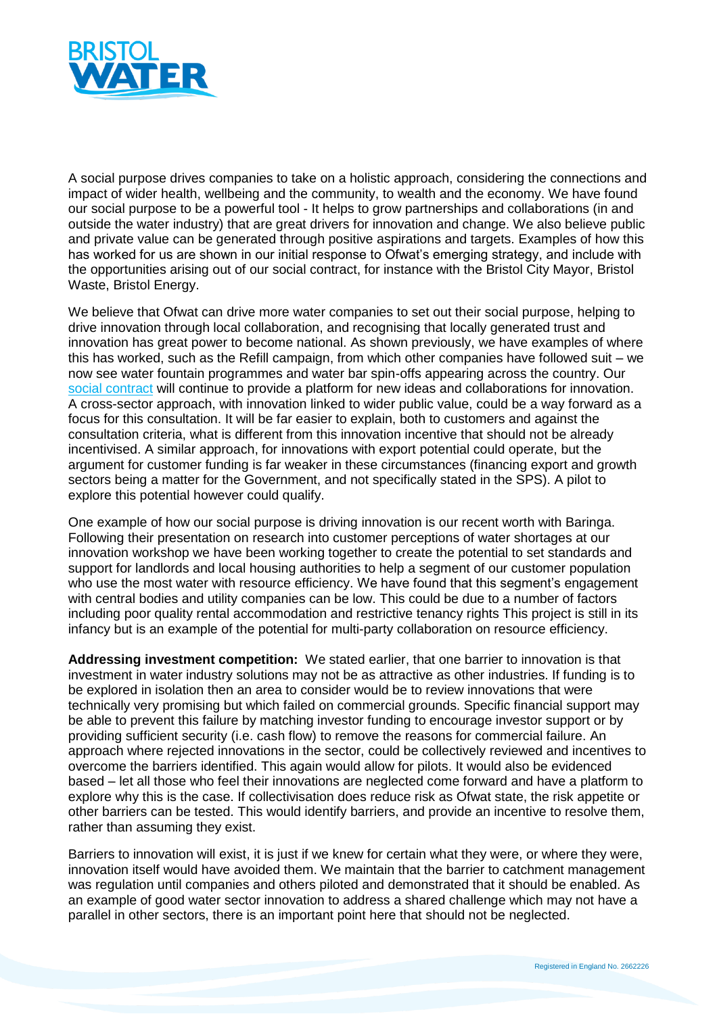

A social purpose drives companies to take on a holistic approach, considering the connections and impact of wider health, wellbeing and the community, to wealth and the economy. We have found our social purpose to be a powerful tool - It helps to grow partnerships and collaborations (in and outside the water industry) that are great drivers for innovation and change. We also believe public and private value can be generated through positive aspirations and targets. Examples of how this has worked for us are shown in our initial response to Ofwat's emerging strategy, and include with the opportunities arising out of our social contract, for instance with the Bristol City Mayor, Bristol Waste, Bristol Energy.

We believe that Ofwat can drive more water companies to set out their social purpose, helping to drive innovation through local collaboration, and recognising that locally generated trust and innovation has great power to become national. As shown previously, we have examples of where this has worked, such as the Refill campaign, from which other companies have followed suit – we now see water fountain programmes and water bar spin-offs appearing across the country. Our [social contract](https://www.bristolwater.co.uk/about-us/social-contract/) will continue to provide a platform for new ideas and collaborations for innovation. A cross-sector approach, with innovation linked to wider public value, could be a way forward as a focus for this consultation. It will be far easier to explain, both to customers and against the consultation criteria, what is different from this innovation incentive that should not be already incentivised. A similar approach, for innovations with export potential could operate, but the argument for customer funding is far weaker in these circumstances (financing export and growth sectors being a matter for the Government, and not specifically stated in the SPS). A pilot to explore this potential however could qualify.

One example of how our social purpose is driving innovation is our recent worth with Baringa. Following their presentation on research into customer perceptions of water shortages at our innovation workshop we have been working together to create the potential to set standards and support for landlords and local housing authorities to help a segment of our customer population who use the most water with resource efficiency. We have found that this segment's engagement with central bodies and utility companies can be low. This could be due to a number of factors including poor quality rental accommodation and restrictive tenancy rights This project is still in its infancy but is an example of the potential for multi-party collaboration on resource efficiency.

**Addressing investment competition:** We stated earlier, that one barrier to innovation is that investment in water industry solutions may not be as attractive as other industries. If funding is to be explored in isolation then an area to consider would be to review innovations that were technically very promising but which failed on commercial grounds. Specific financial support may be able to prevent this failure by matching investor funding to encourage investor support or by providing sufficient security (i.e. cash flow) to remove the reasons for commercial failure. An approach where rejected innovations in the sector, could be collectively reviewed and incentives to overcome the barriers identified. This again would allow for pilots. It would also be evidenced based – let all those who feel their innovations are neglected come forward and have a platform to explore why this is the case. If collectivisation does reduce risk as Ofwat state, the risk appetite or other barriers can be tested. This would identify barriers, and provide an incentive to resolve them, rather than assuming they exist.

Barriers to innovation will exist, it is just if we knew for certain what they were, or where they were, innovation itself would have avoided them. We maintain that the barrier to catchment management was regulation until companies and others piloted and demonstrated that it should be enabled. As an example of good water sector innovation to address a shared challenge which may not have a parallel in other sectors, there is an important point here that should not be neglected.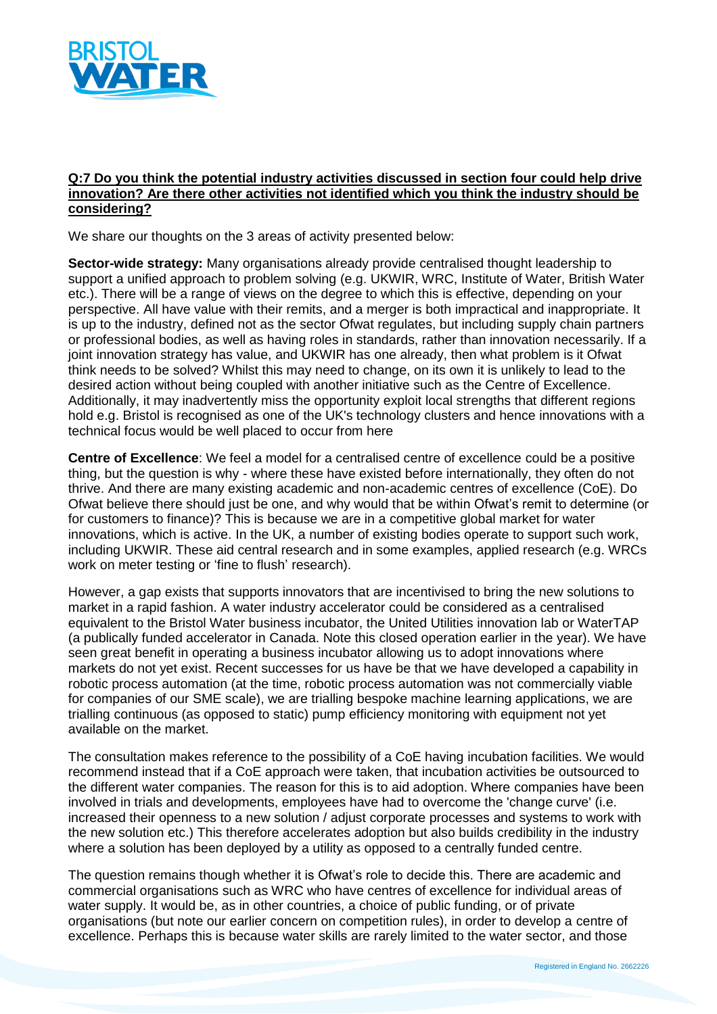

#### **Q:7 Do you think the potential industry activities discussed in section four could help drive innovation? Are there other activities not identified which you think the industry should be considering?**

We share our thoughts on the 3 areas of activity presented below:

**Sector-wide strategy:** Many organisations already provide centralised thought leadership to support a unified approach to problem solving (e.g. UKWIR, WRC, Institute of Water, British Water etc.). There will be a range of views on the degree to which this is effective, depending on your perspective. All have value with their remits, and a merger is both impractical and inappropriate. It is up to the industry, defined not as the sector Ofwat regulates, but including supply chain partners or professional bodies, as well as having roles in standards, rather than innovation necessarily. If a joint innovation strategy has value, and UKWIR has one already, then what problem is it Ofwat think needs to be solved? Whilst this may need to change, on its own it is unlikely to lead to the desired action without being coupled with another initiative such as the Centre of Excellence. Additionally, it may inadvertently miss the opportunity exploit local strengths that different regions hold e.g. Bristol is recognised as one of the UK's technology clusters and hence innovations with a technical focus would be well placed to occur from here

**Centre of Excellence**: We feel a model for a centralised centre of excellence could be a positive thing, but the question is why - where these have existed before internationally, they often do not thrive. And there are many existing academic and non-academic centres of excellence (CoE). Do Ofwat believe there should just be one, and why would that be within Ofwat's remit to determine (or for customers to finance)? This is because we are in a competitive global market for water innovations, which is active. In the UK, a number of existing bodies operate to support such work, including UKWIR. These aid central research and in some examples, applied research (e.g. WRCs work on meter testing or 'fine to flush' research).

However, a gap exists that supports innovators that are incentivised to bring the new solutions to market in a rapid fashion. A water industry accelerator could be considered as a centralised equivalent to the Bristol Water business incubator, the United Utilities innovation lab or WaterTAP (a publically funded accelerator in Canada. Note this closed operation earlier in the year). We have seen great benefit in operating a business incubator allowing us to adopt innovations where markets do not yet exist. Recent successes for us have be that we have developed a capability in robotic process automation (at the time, robotic process automation was not commercially viable for companies of our SME scale), we are trialling bespoke machine learning applications, we are trialling continuous (as opposed to static) pump efficiency monitoring with equipment not yet available on the market.

The consultation makes reference to the possibility of a CoE having incubation facilities. We would recommend instead that if a CoE approach were taken, that incubation activities be outsourced to the different water companies. The reason for this is to aid adoption. Where companies have been involved in trials and developments, employees have had to overcome the 'change curve' (i.e. increased their openness to a new solution / adjust corporate processes and systems to work with the new solution etc.) This therefore accelerates adoption but also builds credibility in the industry where a solution has been deployed by a utility as opposed to a centrally funded centre.

The question remains though whether it is Ofwat's role to decide this. There are academic and commercial organisations such as WRC who have centres of excellence for individual areas of water supply. It would be, as in other countries, a choice of public funding, or of private organisations (but note our earlier concern on competition rules), in order to develop a centre of excellence. Perhaps this is because water skills are rarely limited to the water sector, and those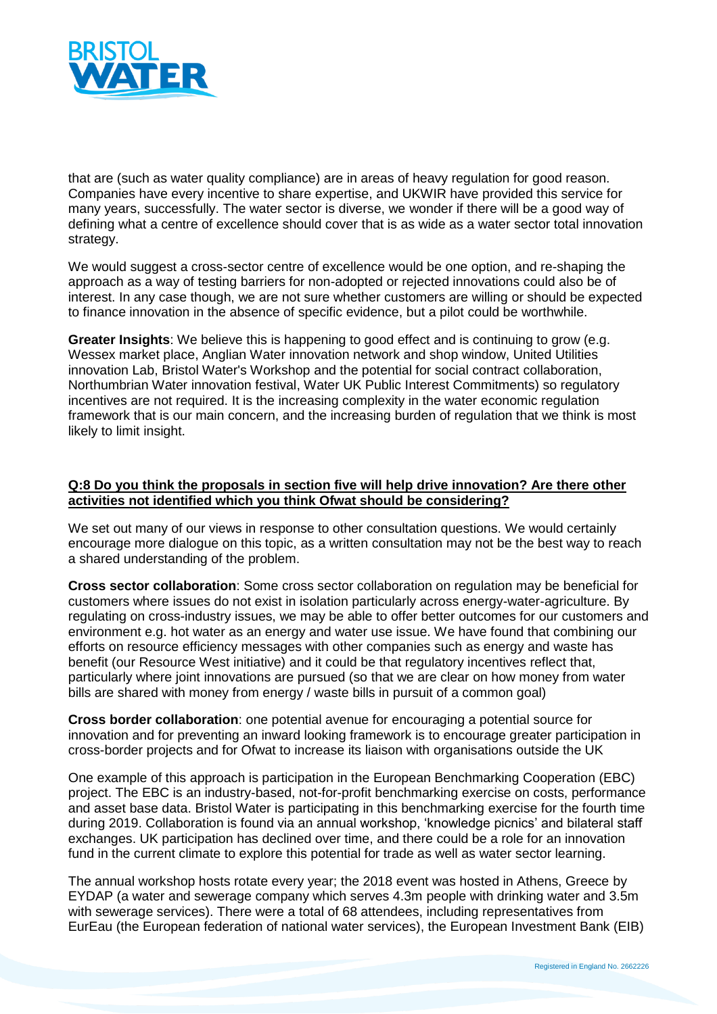

that are (such as water quality compliance) are in areas of heavy regulation for good reason. Companies have every incentive to share expertise, and UKWIR have provided this service for many years, successfully. The water sector is diverse, we wonder if there will be a good way of defining what a centre of excellence should cover that is as wide as a water sector total innovation strategy.

We would suggest a cross-sector centre of excellence would be one option, and re-shaping the approach as a way of testing barriers for non-adopted or rejected innovations could also be of interest. In any case though, we are not sure whether customers are willing or should be expected to finance innovation in the absence of specific evidence, but a pilot could be worthwhile.

**Greater Insights**: We believe this is happening to good effect and is continuing to grow (e.g. Wessex market place, Anglian Water innovation network and shop window, United Utilities innovation Lab, Bristol Water's Workshop and the potential for social contract collaboration, Northumbrian Water innovation festival, Water UK Public Interest Commitments) so regulatory incentives are not required. It is the increasing complexity in the water economic regulation framework that is our main concern, and the increasing burden of regulation that we think is most likely to limit insight.

### **Q:8 Do you think the proposals in section five will help drive innovation? Are there other activities not identified which you think Ofwat should be considering?**

We set out many of our views in response to other consultation questions. We would certainly encourage more dialogue on this topic, as a written consultation may not be the best way to reach a shared understanding of the problem.

**Cross sector collaboration**: Some cross sector collaboration on regulation may be beneficial for customers where issues do not exist in isolation particularly across energy-water-agriculture. By regulating on cross-industry issues, we may be able to offer better outcomes for our customers and environment e.g. hot water as an energy and water use issue. We have found that combining our efforts on resource efficiency messages with other companies such as energy and waste has benefit (our Resource West initiative) and it could be that regulatory incentives reflect that, particularly where joint innovations are pursued (so that we are clear on how money from water bills are shared with money from energy / waste bills in pursuit of a common goal)

**Cross border collaboration**: one potential avenue for encouraging a potential source for innovation and for preventing an inward looking framework is to encourage greater participation in cross-border projects and for Ofwat to increase its liaison with organisations outside the UK

One example of this approach is participation in the European Benchmarking Cooperation (EBC) project. The EBC is an industry-based, not-for-profit benchmarking exercise on costs, performance and asset base data. Bristol Water is participating in this benchmarking exercise for the fourth time during 2019. Collaboration is found via an annual workshop, 'knowledge picnics' and bilateral staff exchanges. UK participation has declined over time, and there could be a role for an innovation fund in the current climate to explore this potential for trade as well as water sector learning.

The annual workshop hosts rotate every year; the 2018 event was hosted in Athens, Greece by EYDAP (a water and sewerage company which serves 4.3m people with drinking water and 3.5m with sewerage services). There were a total of 68 attendees, including representatives from EurEau (the European federation of national water services), the European Investment Bank (EIB)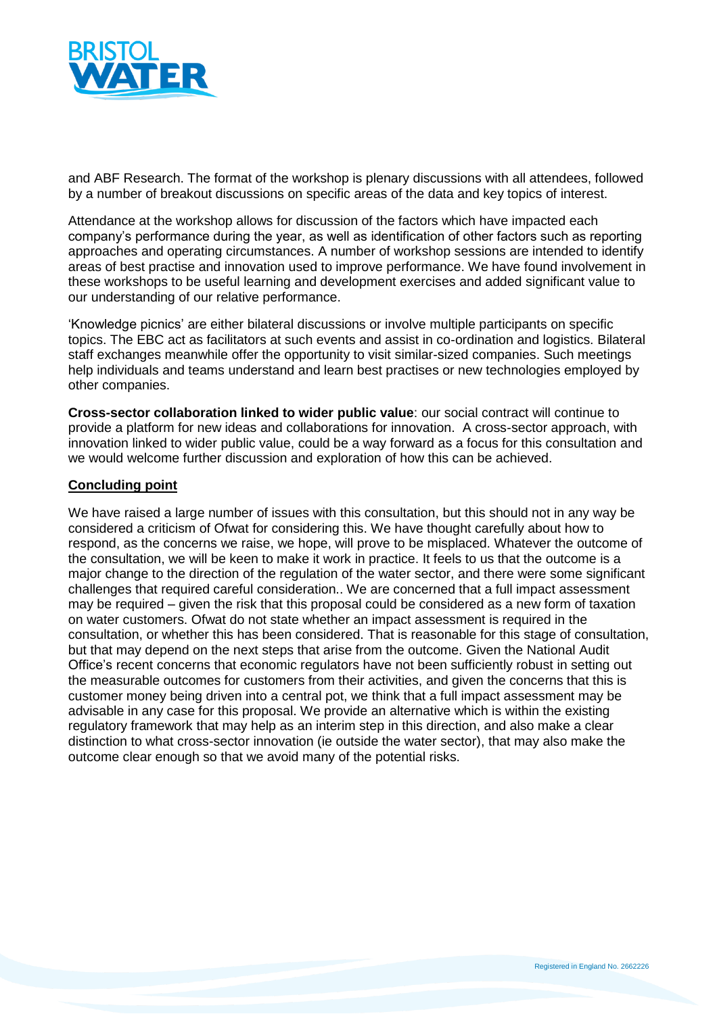

and ABF Research. The format of the workshop is plenary discussions with all attendees, followed by a number of breakout discussions on specific areas of the data and key topics of interest.

Attendance at the workshop allows for discussion of the factors which have impacted each company's performance during the year, as well as identification of other factors such as reporting approaches and operating circumstances. A number of workshop sessions are intended to identify areas of best practise and innovation used to improve performance. We have found involvement in these workshops to be useful learning and development exercises and added significant value to our understanding of our relative performance.

'Knowledge picnics' are either bilateral discussions or involve multiple participants on specific topics. The EBC act as facilitators at such events and assist in co-ordination and logistics. Bilateral staff exchanges meanwhile offer the opportunity to visit similar-sized companies. Such meetings help individuals and teams understand and learn best practises or new technologies employed by other companies.

**Cross-sector collaboration linked to wider public value**: our social contract will continue to provide a platform for new ideas and collaborations for innovation. A cross-sector approach, with innovation linked to wider public value, could be a way forward as a focus for this consultation and we would welcome further discussion and exploration of how this can be achieved.

#### **Concluding point**

We have raised a large number of issues with this consultation, but this should not in any way be considered a criticism of Ofwat for considering this. We have thought carefully about how to respond, as the concerns we raise, we hope, will prove to be misplaced. Whatever the outcome of the consultation, we will be keen to make it work in practice. It feels to us that the outcome is a major change to the direction of the regulation of the water sector, and there were some significant challenges that required careful consideration.. We are concerned that a full impact assessment may be required – given the risk that this proposal could be considered as a new form of taxation on water customers. Ofwat do not state whether an impact assessment is required in the consultation, or whether this has been considered. That is reasonable for this stage of consultation, but that may depend on the next steps that arise from the outcome. Given the National Audit Office's recent concerns that economic regulators have not been sufficiently robust in setting out the measurable outcomes for customers from their activities, and given the concerns that this is customer money being driven into a central pot, we think that a full impact assessment may be advisable in any case for this proposal. We provide an alternative which is within the existing regulatory framework that may help as an interim step in this direction, and also make a clear distinction to what cross-sector innovation (ie outside the water sector), that may also make the outcome clear enough so that we avoid many of the potential risks.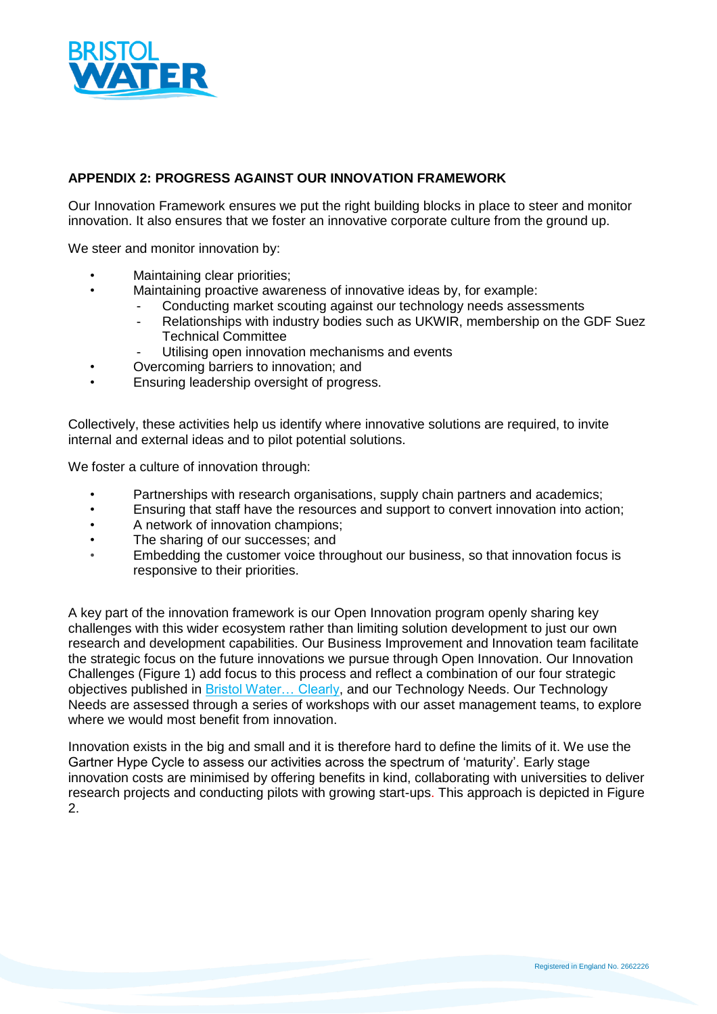

# **APPENDIX 2: PROGRESS AGAINST OUR INNOVATION FRAMEWORK**

Our Innovation Framework ensures we put the right building blocks in place to steer and monitor innovation. It also ensures that we foster an innovative corporate culture from the ground up.

We steer and monitor innovation by:

- Maintaining clear priorities;
	- Maintaining proactive awareness of innovative ideas by, for example:
		- Conducting market scouting against our technology needs assessments
			- Relationships with industry bodies such as UKWIR, membership on the GDF Suez Technical Committee
		- Utilising open innovation mechanisms and events
- Overcoming barriers to innovation; and
- Ensuring leadership oversight of progress.

Collectively, these activities help us identify where innovative solutions are required, to invite internal and external ideas and to pilot potential solutions.

We foster a culture of innovation through:

- Partnerships with research organisations, supply chain partners and academics;
- Ensuring that staff have the resources and support to convert innovation into action;
- A network of innovation champions;
- The sharing of our successes; and
- Embedding the customer voice throughout our business, so that innovation focus is responsive to their priorities.

A key part of the innovation framework is our Open Innovation program openly sharing key challenges with this wider ecosystem rather than limiting solution development to just our own research and development capabilities. Our Business Improvement and Innovation team facilitate the strategic focus on the future innovations we pursue through Open Innovation. Our Innovation Challenges (Figure 1) add focus to this process and reflect a combination of our four strategic objectives published in **Bristol Water... Clearly**, and our Technology Needs. Our Technology Needs are assessed through a series of workshops with our asset management teams, to explore where we would most benefit from innovation.

Innovation exists in the big and small and it is therefore hard to define the limits of it. We use the Gartner Hype Cycle to assess our activities across the spectrum of 'maturity'. Early stage innovation costs are minimised by offering benefits in kind, collaborating with universities to deliver research projects and conducting pilots with growing start-ups. This approach is depicted in Figure 2.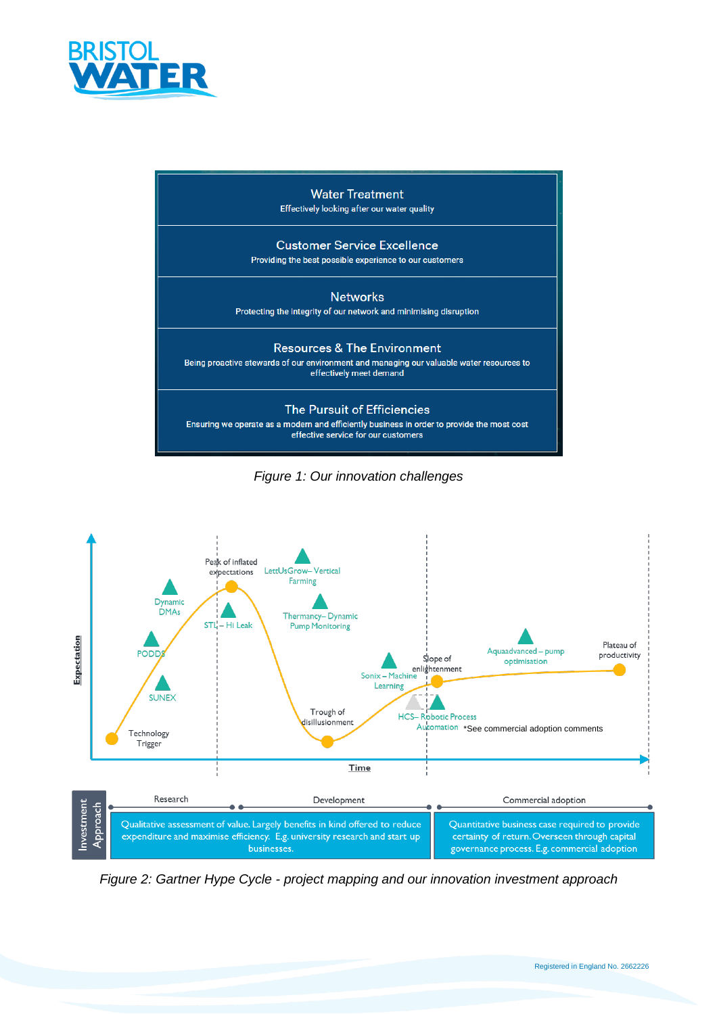







*Figure 2: Gartner Hype Cycle - project mapping and our innovation investment approach*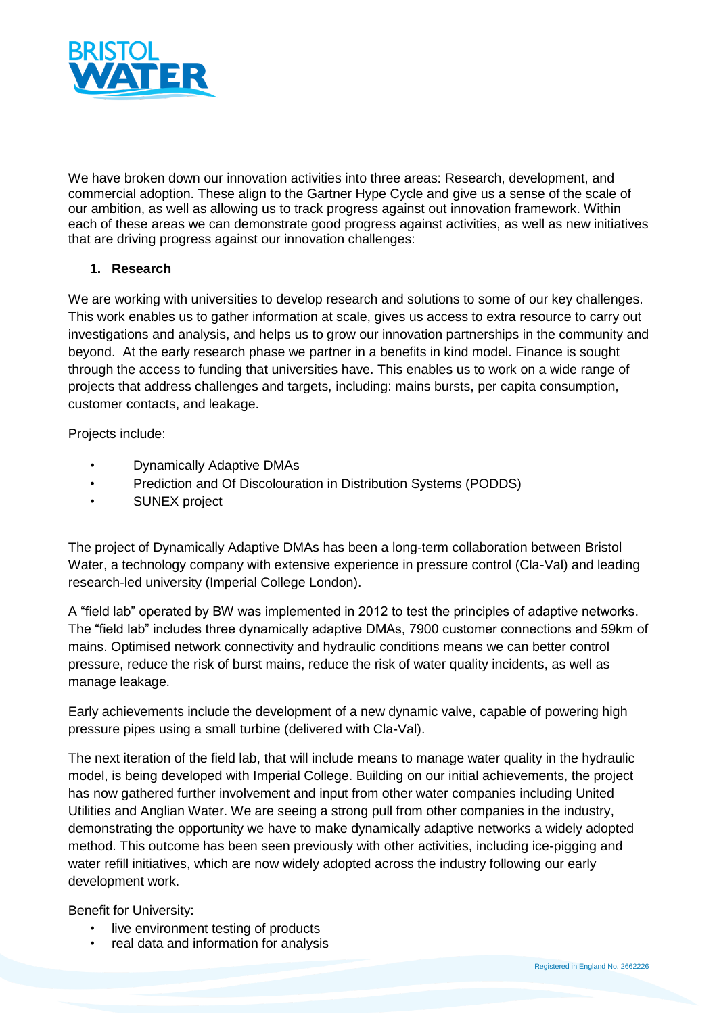

We have broken down our innovation activities into three areas: Research, development, and commercial adoption. These align to the Gartner Hype Cycle and give us a sense of the scale of our ambition, as well as allowing us to track progress against out innovation framework. Within each of these areas we can demonstrate good progress against activities, as well as new initiatives that are driving progress against our innovation challenges:

## **1. Research**

We are working with universities to develop research and solutions to some of our key challenges. This work enables us to gather information at scale, gives us access to extra resource to carry out investigations and analysis, and helps us to grow our innovation partnerships in the community and beyond. At the early research phase we partner in a benefits in kind model. Finance is sought through the access to funding that universities have. This enables us to work on a wide range of projects that address challenges and targets, including: mains bursts, per capita consumption, customer contacts, and leakage.

Projects include:

- Dynamically Adaptive DMAs
- Prediction and Of Discolouration in Distribution Systems (PODDS)
- SUNEX project

The project of Dynamically Adaptive DMAs has been a long-term collaboration between Bristol Water, a technology company with extensive experience in pressure control (Cla-Val) and leading research-led university (Imperial College London).

A "field lab" operated by BW was implemented in 2012 to test the principles of adaptive networks. The "field lab" includes three dynamically adaptive DMAs, 7900 customer connections and 59km of mains. Optimised network connectivity and hydraulic conditions means we can better control pressure, reduce the risk of burst mains, reduce the risk of water quality incidents, as well as manage leakage.

Early achievements include the development of a new dynamic valve, capable of powering high pressure pipes using a small turbine (delivered with Cla-Val).

The next iteration of the field lab, that will include means to manage water quality in the hydraulic model, is being developed with Imperial College. Building on our initial achievements, the project has now gathered further involvement and input from other water companies including United Utilities and Anglian Water. We are seeing a strong pull from other companies in the industry, demonstrating the opportunity we have to make dynamically adaptive networks a widely adopted method. This outcome has been seen previously with other activities, including ice-pigging and water refill initiatives, which are now widely adopted across the industry following our early development work.

Benefit for University:

- live environment testing of products
- real data and information for analysis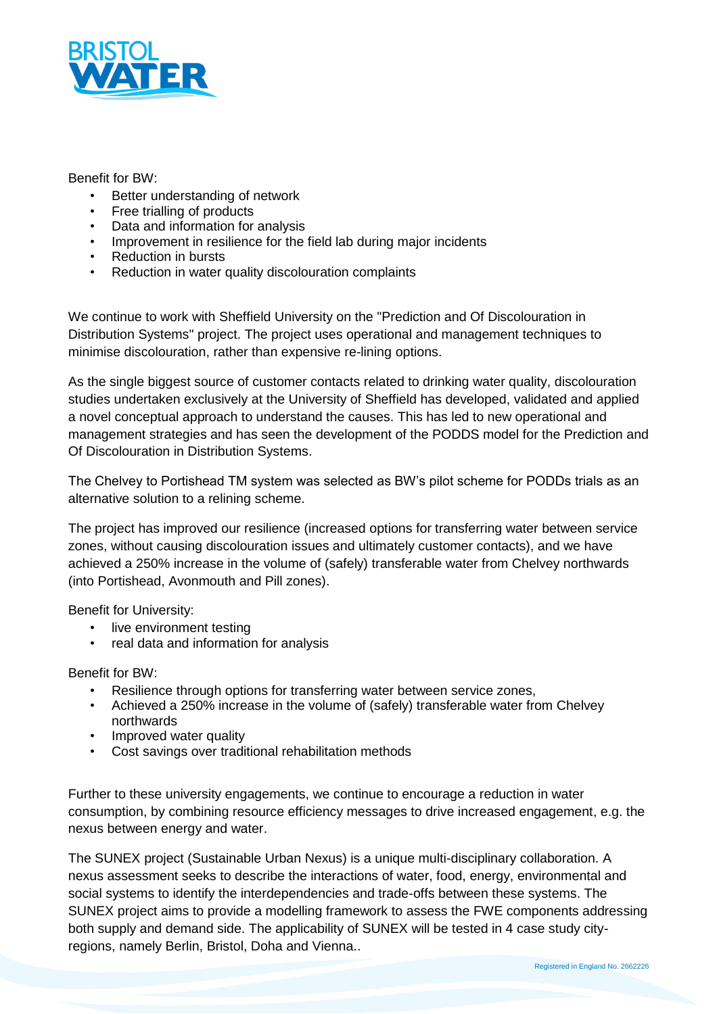

## Benefit for BW:

- Better understanding of network
- Free trialling of products
- Data and information for analysis
- Improvement in resilience for the field lab during major incidents
- Reduction in bursts
- Reduction in water quality discolouration complaints

We continue to work with Sheffield University on the "Prediction and Of Discolouration in Distribution Systems" project. The project uses operational and management techniques to minimise discolouration, rather than expensive re-lining options.

As the single biggest source of customer contacts related to drinking water quality, discolouration studies undertaken exclusively at the University of Sheffield has developed, validated and applied a novel conceptual approach to understand the causes. This has led to new operational and management strategies and has seen the development of the PODDS model for the Prediction and Of Discolouration in Distribution Systems.

The Chelvey to Portishead TM system was selected as BW's pilot scheme for PODDs trials as an alternative solution to a relining scheme.

The project has improved our resilience (increased options for transferring water between service zones, without causing discolouration issues and ultimately customer contacts), and we have achieved a 250% increase in the volume of (safely) transferable water from Chelvey northwards (into Portishead, Avonmouth and Pill zones).

Benefit for University:

- live environment testing
- real data and information for analysis

Benefit for BW:

- Resilience through options for transferring water between service zones,
- Achieved a 250% increase in the volume of (safely) transferable water from Chelvey northwards
- Improved water quality
- Cost savings over traditional rehabilitation methods

Further to these university engagements, we continue to encourage a reduction in water consumption, by combining resource efficiency messages to drive increased engagement, e.g. the nexus between energy and water.

The SUNEX project (Sustainable Urban Nexus) is a unique multi-disciplinary collaboration. A nexus assessment seeks to describe the interactions of water, food, energy, environmental and social systems to identify the interdependencies and trade-offs between these systems. The SUNEX project aims to provide a modelling framework to assess the FWE components addressing both supply and demand side. The applicability of SUNEX will be tested in 4 case study cityregions, namely Berlin, Bristol, Doha and Vienna..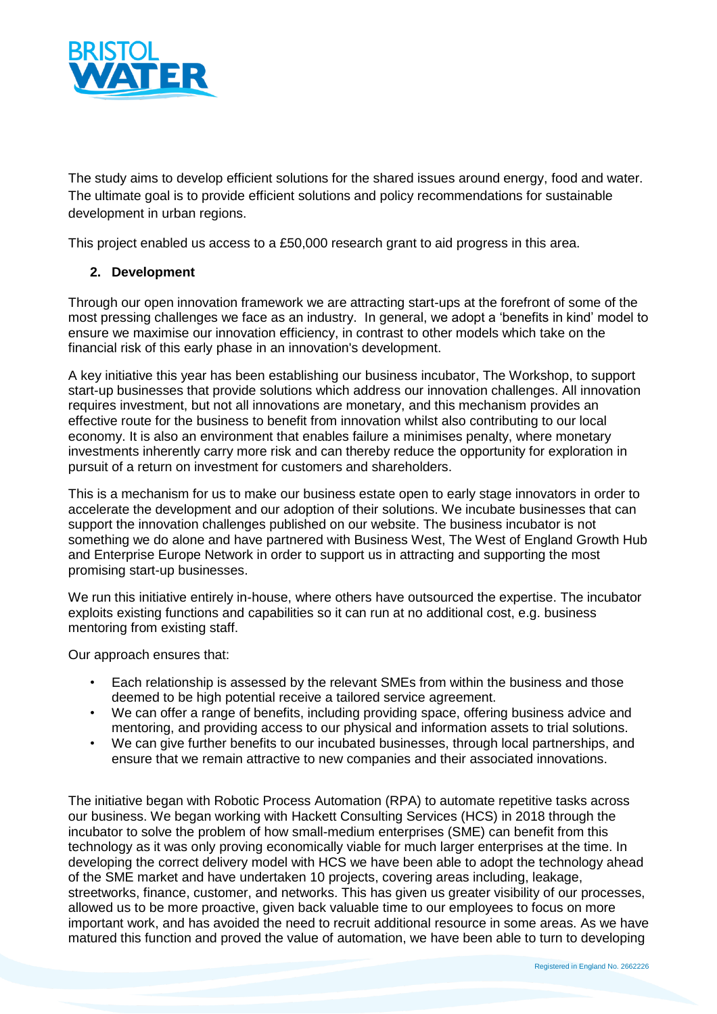

The study aims to develop efficient solutions for the shared issues around energy, food and water. The ultimate goal is to provide efficient solutions and policy recommendations for sustainable development in urban regions.

This project enabled us access to a £50,000 research grant to aid progress in this area.

## **2. Development**

Through our open innovation framework we are attracting start-ups at the forefront of some of the most pressing challenges we face as an industry. In general, we adopt a 'benefits in kind' model to ensure we maximise our innovation efficiency, in contrast to other models which take on the financial risk of this early phase in an innovation's development.

A key initiative this year has been establishing our business incubator, The Workshop, to support start-up businesses that provide solutions which address our innovation challenges. All innovation requires investment, but not all innovations are monetary, and this mechanism provides an effective route for the business to benefit from innovation whilst also contributing to our local economy. It is also an environment that enables failure a minimises penalty, where monetary investments inherently carry more risk and can thereby reduce the opportunity for exploration in pursuit of a return on investment for customers and shareholders.

This is a mechanism for us to make our business estate open to early stage innovators in order to accelerate the development and our adoption of their solutions. We incubate businesses that can support the innovation challenges published on our website. The business incubator is not something we do alone and have partnered with Business West, The West of England Growth Hub and Enterprise Europe Network in order to support us in attracting and supporting the most promising start-up businesses.

We run this initiative entirely in-house, where others have outsourced the expertise. The incubator exploits existing functions and capabilities so it can run at no additional cost, e.g. business mentoring from existing staff.

Our approach ensures that:

- Each relationship is assessed by the relevant SMEs from within the business and those deemed to be high potential receive a tailored service agreement.
- We can offer a range of benefits, including providing space, offering business advice and mentoring, and providing access to our physical and information assets to trial solutions.
- We can give further benefits to our incubated businesses, through local partnerships, and ensure that we remain attractive to new companies and their associated innovations.

The initiative began with Robotic Process Automation (RPA) to automate repetitive tasks across our business. We began working with Hackett Consulting Services (HCS) in 2018 through the incubator to solve the problem of how small-medium enterprises (SME) can benefit from this technology as it was only proving economically viable for much larger enterprises at the time. In developing the correct delivery model with HCS we have been able to adopt the technology ahead of the SME market and have undertaken 10 projects, covering areas including, leakage, streetworks, finance, customer, and networks. This has given us greater visibility of our processes, allowed us to be more proactive, given back valuable time to our employees to focus on more important work, and has avoided the need to recruit additional resource in some areas. As we have matured this function and proved the value of automation, we have been able to turn to developing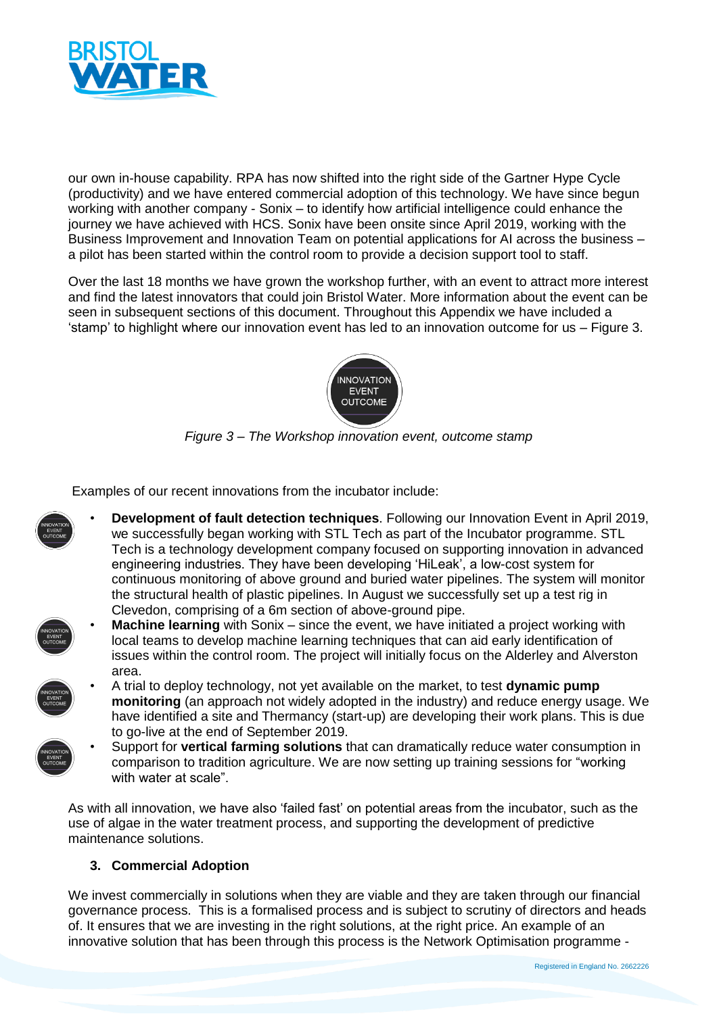

our own in-house capability. RPA has now shifted into the right side of the Gartner Hype Cycle (productivity) and we have entered commercial adoption of this technology. We have since begun working with another company - Sonix – to identify how artificial intelligence could enhance the journey we have achieved with HCS. Sonix have been onsite since April 2019, working with the Business Improvement and Innovation Team on potential applications for AI across the business – a pilot has been started within the control room to provide a decision support tool to staff.

Over the last 18 months we have grown the workshop further, with an event to attract more interest and find the latest innovators that could join Bristol Water. More information about the event can be seen in subsequent sections of this document. Throughout this Appendix we have included a 'stamp' to highlight where our innovation event has led to an innovation outcome for us – Figure 3.



*Figure 3 – The Workshop innovation event, outcome stamp*

Examples of our recent innovations from the incubator include:

- **Development of fault detection techniques**. Following our Innovation Event in April 2019, we successfully began working with STL Tech as part of the Incubator programme. STL Tech is a technology development company focused on supporting innovation in advanced engineering industries. They have been developing 'HiLeak', a low-cost system for continuous monitoring of above ground and buried water pipelines. The system will monitor the structural health of plastic pipelines. In August we successfully set up a test rig in Clevedon, comprising of a 6m section of above-ground pipe.
- **Machine learning** with Sonix since the event, we have initiated a project working with local teams to develop machine learning techniques that can aid early identification of issues within the control room. The project will initially focus on the Alderley and Alverston area.
	- A trial to deploy technology, not yet available on the market, to test **dynamic pump monitoring** (an approach not widely adopted in the industry) and reduce energy usage. We have identified a site and Thermancy (start-up) are developing their work plans. This is due to go-live at the end of September 2019.
	- Support for **vertical farming solutions** that can dramatically reduce water consumption in comparison to tradition agriculture. We are now setting up training sessions for "working with water at scale"

As with all innovation, we have also 'failed fast' on potential areas from the incubator, such as the use of algae in the water treatment process, and supporting the development of predictive maintenance solutions.

## **3. Commercial Adoption**

We invest commercially in solutions when they are viable and they are taken through our financial governance process. This is a formalised process and is subject to scrutiny of directors and heads of. It ensures that we are investing in the right solutions, at the right price. An example of an innovative solution that has been through this process is the Network Optimisation programme -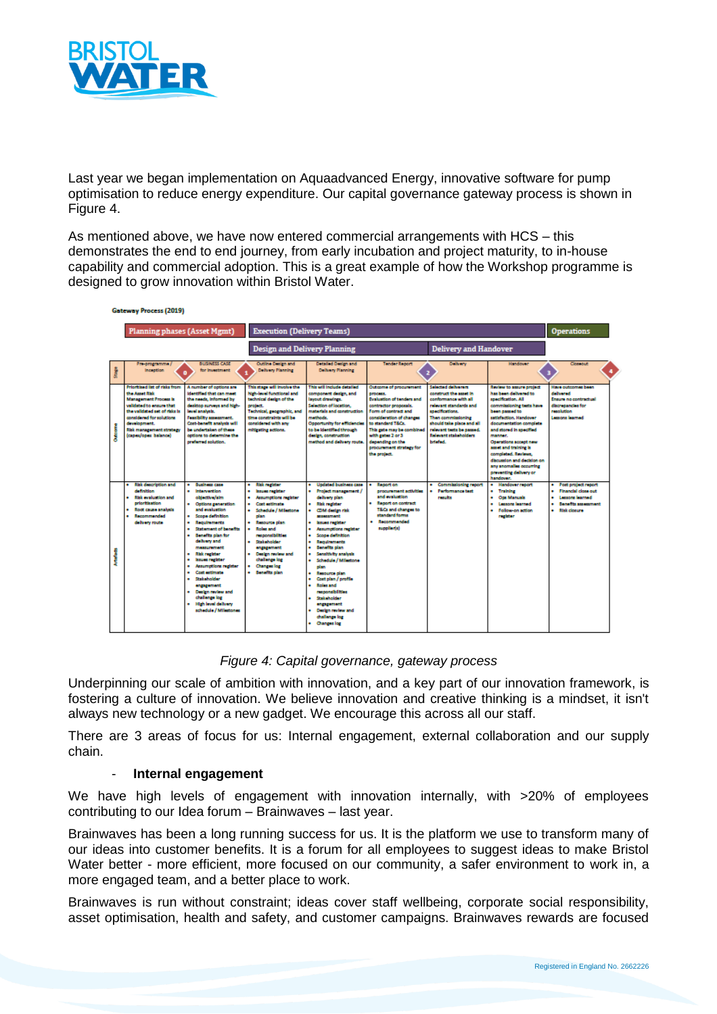

Last year we began implementation on Aquaadvanced Energy, innovative software for pump optimisation to reduce energy expenditure. Our capital governance gateway process is shown in Figure 4.

As mentioned above, we have now entered commercial arrangements with HCS – this demonstrates the end to end journey, from early incubation and project maturity, to in-house capability and commercial adoption. This is a great example of how the Workshop programme is designed to grow innovation within Bristol Water.

| <b>Gateway Process (2019)</b> |                                                                                                                                                                                                                                               |                                                                                                                                                                                                                                                                                                                                                                                                                                                         |                                                                                                                                                                                                                                                                                                    |                                                                                                                                                                                                                                                                                                                                                                                                                                                                                                                                         |                                                                                                                                                                                                                                                                                                    |                                                                                                                                                                                                                                                |                                                                                                                                                                                                                                                                                                                                                                                          |                                                                                                                                |
|-------------------------------|-----------------------------------------------------------------------------------------------------------------------------------------------------------------------------------------------------------------------------------------------|---------------------------------------------------------------------------------------------------------------------------------------------------------------------------------------------------------------------------------------------------------------------------------------------------------------------------------------------------------------------------------------------------------------------------------------------------------|----------------------------------------------------------------------------------------------------------------------------------------------------------------------------------------------------------------------------------------------------------------------------------------------------|-----------------------------------------------------------------------------------------------------------------------------------------------------------------------------------------------------------------------------------------------------------------------------------------------------------------------------------------------------------------------------------------------------------------------------------------------------------------------------------------------------------------------------------------|----------------------------------------------------------------------------------------------------------------------------------------------------------------------------------------------------------------------------------------------------------------------------------------------------|------------------------------------------------------------------------------------------------------------------------------------------------------------------------------------------------------------------------------------------------|------------------------------------------------------------------------------------------------------------------------------------------------------------------------------------------------------------------------------------------------------------------------------------------------------------------------------------------------------------------------------------------|--------------------------------------------------------------------------------------------------------------------------------|
|                               | Planning phases (Asset Mgmt)                                                                                                                                                                                                                  |                                                                                                                                                                                                                                                                                                                                                                                                                                                         | <b>Execution (Delivery Teams)</b>                                                                                                                                                                                                                                                                  |                                                                                                                                                                                                                                                                                                                                                                                                                                                                                                                                         |                                                                                                                                                                                                                                                                                                    |                                                                                                                                                                                                                                                |                                                                                                                                                                                                                                                                                                                                                                                          | <b>Operations</b>                                                                                                              |
|                               |                                                                                                                                                                                                                                               |                                                                                                                                                                                                                                                                                                                                                                                                                                                         | <b>Design and Delivery Planning</b>                                                                                                                                                                                                                                                                |                                                                                                                                                                                                                                                                                                                                                                                                                                                                                                                                         |                                                                                                                                                                                                                                                                                                    | <b>Delivery and Handover</b>                                                                                                                                                                                                                   |                                                                                                                                                                                                                                                                                                                                                                                          |                                                                                                                                |
|                               | Pre-programme /<br><b>Inception</b>                                                                                                                                                                                                           | <b>BUSINESS CASE</b><br>for Investment                                                                                                                                                                                                                                                                                                                                                                                                                  | <b>Outline Dealers and</b><br><b>Delivery Planning</b>                                                                                                                                                                                                                                             | <b>Detailed Dealer and</b><br><b>Delivery Planning</b>                                                                                                                                                                                                                                                                                                                                                                                                                                                                                  | <b>Tender Report</b>                                                                                                                                                                                                                                                                               | Delivery                                                                                                                                                                                                                                       | <b>Handover</b>                                                                                                                                                                                                                                                                                                                                                                          | Closeque                                                                                                                       |
|                               | Prioritized list of risks from<br>the Amet Rick<br><b>Management Process Is</b><br>validated to ensure that<br>the validated set of risks is<br>considered for solutions.<br>development.<br>Risk management strategy<br>(capes/opes balance) | A number of options are<br><b>Identified that can meet</b><br>the needs, informed by<br>deaktop surveys and high-<br>level snakels.<br>Featbility spectrosof.<br>Cost-benefit analysis will<br>be undertaken of these<br>cotions to determine the<br>preferred solution.                                                                                                                                                                                | This stage will involve the<br>high-level functional and<br>technical design of the<br>project.<br>Technical, geographic, and<br>time constraints will be<br>considered with any<br>mitigating actions.                                                                                            | This will include detailed<br>component design, and<br>layout drawings.<br>Selection of location.<br>materials and construction<br>methods.<br>Opportunity for efficiencies<br>to be identified through<br>design, construction<br>method and delivery route.                                                                                                                                                                                                                                                                           | Outcome of procurement<br><b>DIDOMES.</b><br><b>Dysluation of tenders and</b><br>contractor proposals.<br>Form of contract and<br>consideration of changes.<br>to standard T&Cs.<br>This gate may be combined<br>with gates 2 or 3<br>depending on the<br>procurement strategy for<br>the project. | Selected deliverers<br>construct the steet in<br>conformance with all<br>relevant standards and<br>specifications.<br>Then commissioning<br>should take place and all<br>relevant tests be passed.<br>Relevant stakeholders<br><b>betalled</b> | Review to assure project<br>has been delivered to<br>specification, All<br>commissioning tests have<br>been passed to<br>satisfaction, Handover<br>documentation complete<br>and stored in specified<br>manner.<br>Operations accept new<br>asset and training is<br>completed. Reviews.<br>discussion and decision on<br>any anomalies occurring<br>preventing delivery or<br>handower. | Have outcomes been<br>delivered<br><b>Engure no contractual</b><br>discreased as for<br>resolution<br>Lessons learned          |
|                               | <b>Risk description and</b><br>definition<br><b>Risk evaluation and</b><br>٠<br>prioritization<br>Root cause analysis<br>Recommended<br>delivery route                                                                                        | <b>Business case</b><br><b>Intervention</b><br>objective/aim<br>Outlons generation<br>and evaluation<br>Scope definition<br>Regulatoraria<br><b>Statement of benefits</b><br>Benefits plan for<br>delivery and<br>measurement<br><b>Rick register</b><br><b>Insurance and Intern</b><br><b>Assumptions register</b><br>Cost estimate<br>Stakeholder<br>ensseenent<br>Design review and<br>challenge log<br>High level delivery<br>schedule / Milestones | <b>Risk register</b><br><b>Issues register</b><br>Assumptions register<br><b>Cost estimate</b><br>Schedule / Milestone<br>plan<br>Resource plan<br>Roles and<br>responsibilities<br>Stakeholder<br>engagernent<br>Design review and<br>challenge log<br><b>Claness log</b><br><b>Benefits plan</b> | <b>Undated business case</b><br>Project management /<br>٠<br>delivery plan<br>٠<br><b>Risk register</b><br>CDM design risk<br>٠<br><b>MIASED DATE</b><br>٠<br>lessue register<br>Assumptions register<br>٠<br>Scope definition<br>٠<br>٠<br>Regulmments<br>Senafits plan<br>٠<br>Sensitivity analysis<br>٠<br>Schedule / Milestone<br>٠<br>olan.<br>Resource plan<br>٠<br>٠<br>Cost plan / profile<br>Roles and<br>٠<br>responsibilities<br>Stakeholder<br>٠<br>engagement<br>Dealers review and<br>٠<br>challenge log<br>. Changes los | Report on<br>procurement activities<br>and evaluation<br><b>Report on contract</b><br>T&Cs and changes to<br>standard forms<br>Recommended<br>supplier(s)                                                                                                                                          | Commissioning report<br><b>Performance test</b><br>results                                                                                                                                                                                     | <b>Handover report</b><br>٠<br>· Training<br>. Op: Manuals<br>· Lessons learned<br>· Follow-on action<br>register                                                                                                                                                                                                                                                                        | Post project report<br>Financial close out<br><b>Lessons learned</b><br><b>Benefits stressment</b><br><b>Blok closure</b><br>٠ |

*Figure 4: Capital governance, gateway process*

Underpinning our scale of ambition with innovation, and a key part of our innovation framework, is fostering a culture of innovation. We believe innovation and creative thinking is a mindset, it isn't always new technology or a new gadget. We encourage this across all our staff.

There are 3 areas of focus for us: Internal engagement, external collaboration and our supply chain.

#### - **Internal engagement**

We have high levels of engagement with innovation internally, with >20% of employees contributing to our Idea forum – Brainwaves – last year.

Brainwaves has been a long running success for us. It is the platform we use to transform many of our ideas into customer benefits. It is a forum for all employees to suggest ideas to make Bristol Water better - more efficient, more focused on our community, a safer environment to work in, a more engaged team, and a better place to work.

Brainwaves is run without constraint; ideas cover staff wellbeing, corporate social responsibility, asset optimisation, health and safety, and customer campaigns. Brainwaves rewards are focused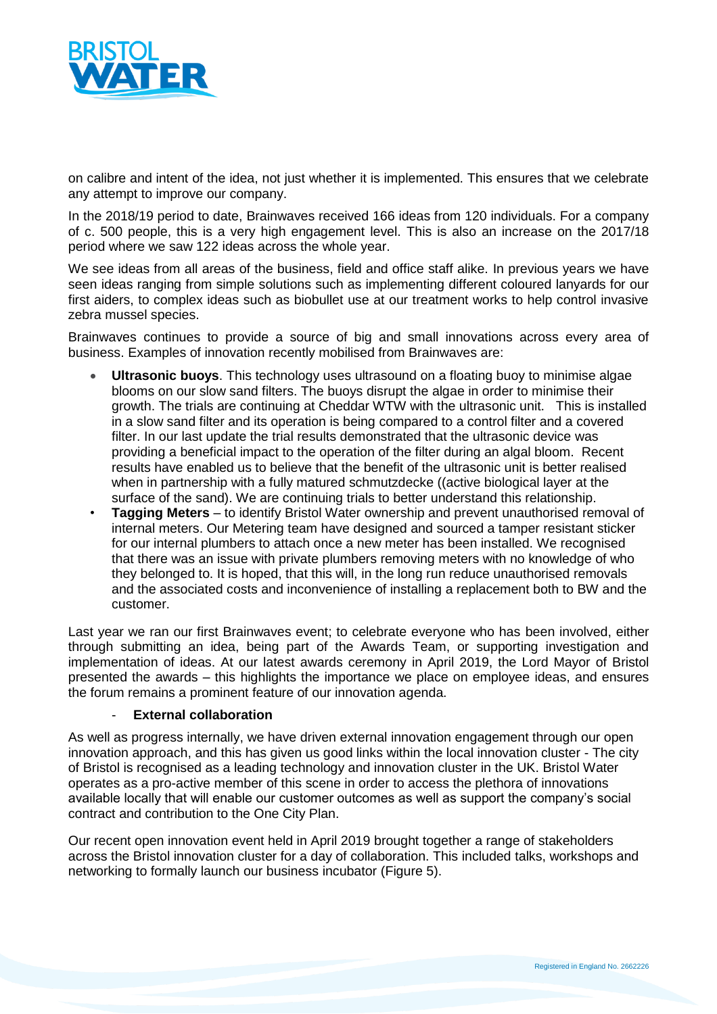

on calibre and intent of the idea, not just whether it is implemented. This ensures that we celebrate any attempt to improve our company.

In the 2018/19 period to date, Brainwaves received 166 ideas from 120 individuals. For a company of c. 500 people, this is a very high engagement level. This is also an increase on the 2017/18 period where we saw 122 ideas across the whole year.

We see ideas from all areas of the business, field and office staff alike. In previous years we have seen ideas ranging from simple solutions such as implementing different coloured lanyards for our first aiders, to complex ideas such as biobullet use at our treatment works to help control invasive zebra mussel species.

Brainwaves continues to provide a source of big and small innovations across every area of business. Examples of innovation recently mobilised from Brainwaves are:

- **Ultrasonic buoys**. This technology uses ultrasound on a floating buoy to minimise algae blooms on our slow sand filters. The buoys disrupt the algae in order to minimise their growth. The trials are continuing at Cheddar WTW with the ultrasonic unit. This is installed in a slow sand filter and its operation is being compared to a control filter and a covered filter. In our last update the trial results demonstrated that the ultrasonic device was providing a beneficial impact to the operation of the filter during an algal bloom. Recent results have enabled us to believe that the benefit of the ultrasonic unit is better realised when in partnership with a fully matured schmutzdecke ((active biological layer at the surface of the sand). We are continuing trials to better understand this relationship.
- **Tagging Meters** to identify Bristol Water ownership and prevent unauthorised removal of internal meters. Our Metering team have designed and sourced a tamper resistant sticker for our internal plumbers to attach once a new meter has been installed. We recognised that there was an issue with private plumbers removing meters with no knowledge of who they belonged to. It is hoped, that this will, in the long run reduce unauthorised removals and the associated costs and inconvenience of installing a replacement both to BW and the customer.

Last year we ran our first Brainwaves event; to celebrate everyone who has been involved, either through submitting an idea, being part of the Awards Team, or supporting investigation and implementation of ideas. At our latest awards ceremony in April 2019, the Lord Mayor of Bristol presented the awards – this highlights the importance we place on employee ideas, and ensures the forum remains a prominent feature of our innovation agenda.

#### - **External collaboration**

As well as progress internally, we have driven external innovation engagement through our open innovation approach, and this has given us good links within the local innovation cluster - The city of Bristol is recognised as a leading technology and innovation cluster in the UK. Bristol Water operates as a pro-active member of this scene in order to access the plethora of innovations available locally that will enable our customer outcomes as well as support the company's social contract and contribution to the One City Plan.

Our recent open innovation event held in April 2019 brought together a range of stakeholders across the Bristol innovation cluster for a day of collaboration. This included talks, workshops and networking to formally launch our business incubator (Figure 5).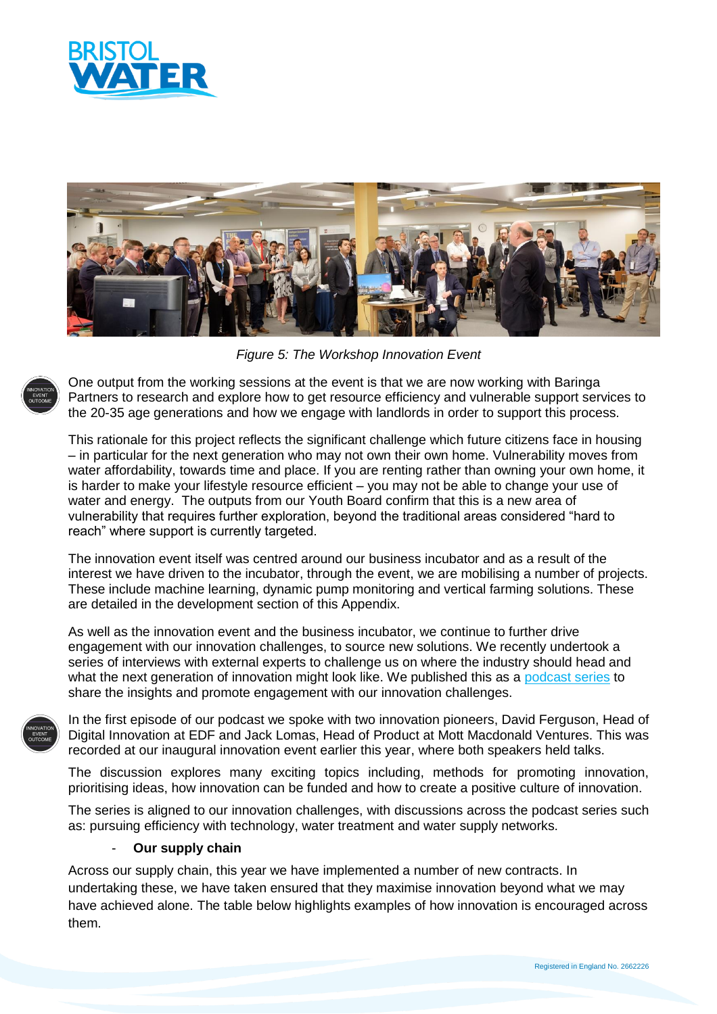



*Figure 5: The Workshop Innovation Event*

One output from the working sessions at the event is that we are now working with Baringa Partners to research and explore how to get resource efficiency and vulnerable support services to the 20-35 age generations and how we engage with landlords in order to support this process.

This rationale for this project reflects the significant challenge which future citizens face in housing – in particular for the next generation who may not own their own home. Vulnerability moves from water affordability, towards time and place. If you are renting rather than owning your own home, it is harder to make your lifestyle resource efficient – you may not be able to change your use of water and energy. The outputs from our Youth Board confirm that this is a new area of vulnerability that requires further exploration, beyond the traditional areas considered "hard to reach" where support is currently targeted.

The innovation event itself was centred around our business incubator and as a result of the interest we have driven to the incubator, through the event, we are mobilising a number of projects. These include machine learning, dynamic pump monitoring and vertical farming solutions. These are detailed in the development section of this Appendix.

As well as the innovation event and the business incubator, we continue to further drive engagement with our innovation challenges, to source new solutions. We recently undertook a series of interviews with external experts to challenge us on where the industry should head and what the next generation of innovation might look like. We published this as a [podcast series](https://www.bristolwater.co.uk/innovation-podcast) to share the insights and promote engagement with our innovation challenges.

In the first episode of our podcast we spoke with two innovation pioneers, David Ferguson, Head of Digital Innovation at EDF and Jack Lomas, Head of Product at Mott Macdonald Ventures. This was recorded at our inaugural innovation event earlier this year, where both speakers held talks.

The discussion explores many exciting topics including, methods for promoting innovation, prioritising ideas, how innovation can be funded and how to create a positive culture of innovation.

The series is aligned to our innovation challenges, with discussions across the podcast series such as: pursuing efficiency with technology, water treatment and water supply networks.

## - **Our supply chain**

Across our supply chain, this year we have implemented a number of new contracts. In undertaking these, we have taken ensured that they maximise innovation beyond what we may have achieved alone. The table below highlights examples of how innovation is encouraged across them.